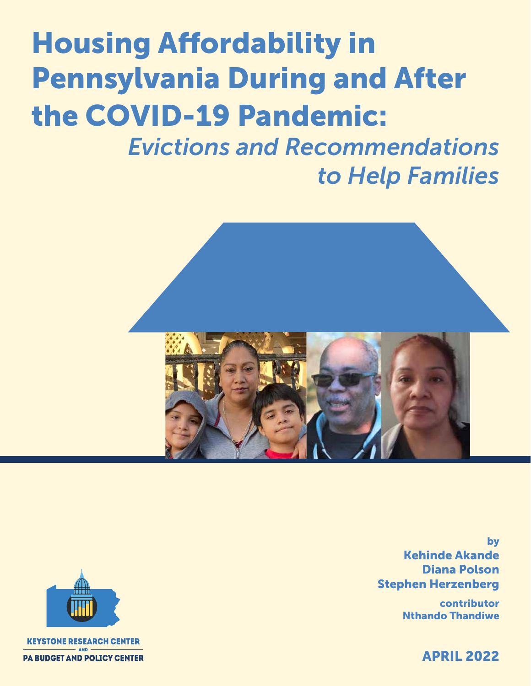# Housing Affordability in Pennsylvania During and After the COVID-19 Pandemic:

*Evictions and Recommendations to Help Families*



by Kehinde Akande Diana Polson Stephen Herzenberg

> contributor Nthando Thandiwe

> > APRIL 2022

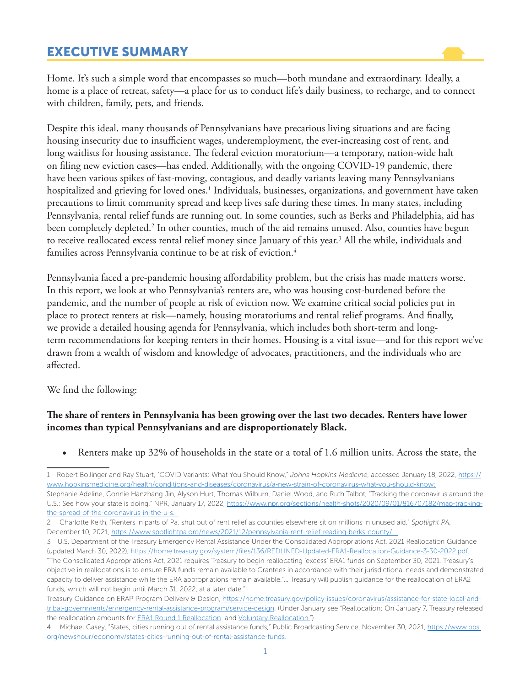# EXECUTIVE SUMMARY

Home. It's such a simple word that encompasses so much—both mundane and extraordinary. Ideally, a home is a place of retreat, safety—a place for us to conduct life's daily business, to recharge, and to connect with children, family, pets, and friends.

Despite this ideal, many thousands of Pennsylvanians have precarious living situations and are facing housing insecurity due to insufficient wages, underemployment, the ever-increasing cost of rent, and long waitlists for housing assistance. The federal eviction moratorium—a temporary, nation-wide halt on filing new eviction cases—has ended. Additionally, with the ongoing COVID-19 pandemic, there have been various spikes of fast-moving, contagious, and deadly variants leaving many Pennsylvanians hospitalized and grieving for loved ones.<sup>1</sup> Individuals, businesses, organizations, and government have taken precautions to limit community spread and keep lives safe during these times. In many states, including Pennsylvania, rental relief funds are running out. In some counties, such as Berks and Philadelphia, aid has been completely depleted.<sup>2</sup> In other counties, much of the aid remains unused. Also, counties have begun to receive reallocated excess rental relief money since January of this year.<sup>3</sup> All the while, individuals and families across Pennsylvania continue to be at risk of eviction.<sup>4</sup>

Pennsylvania faced a pre-pandemic housing affordability problem, but the crisis has made matters worse. In this report, we look at who Pennsylvania's renters are, who was housing cost-burdened before the pandemic, and the number of people at risk of eviction now. We examine critical social policies put in place to protect renters at risk—namely, housing moratoriums and rental relief programs. And finally, we provide a detailed housing agenda for Pennsylvania, which includes both short-term and longterm recommendations for keeping renters in their homes. Housing is a vital issue—and for this report we've drawn from a wealth of wisdom and knowledge of advocates, practitioners, and the individuals who are affected.

We find the following:

#### **The share of renters in Pennsylvania has been growing over the last two decades. Renters have lower incomes than typical Pennsylvanians and are disproportionately Black.**

Renters make up 32% of households in the state or a total of 1.6 million units. Across the state, the

3 U.S. Department of the Treasury Emergency Rental Assistance Under the Consolidated Appropriations Act, 2021 Reallocation Guidance (updated March 30, 2022), https://home.treasury.gov/system/files/136/REDLINED-Updated-ERA1-Reallocation-Guidance-3-30-2022.pdf.

"The Consolidated Appropriations Act, 2021 requires Treasury to begin reallocating 'excess' ERA1 funds on September 30, 2021. Treasury's objective in reallocations is to ensure ERA funds remain available to Grantees in accordance with their jurisdictional needs and demonstrated capacity to deliver assistance while the ERA appropriations remain available."… Treasury will publish guidance for the reallocation of ERA2 funds, which will not begin until March 31, 2022, at a later date."

- Treasury Guidance on ERAP Program Delivery & Design, https://home.treasury.gov/policy-issues/coronavirus/assistance-for-state-local-andtribal-governments/emergency-rental-assistance-program/service-design. (Under January see "Reallocation: On January 7, Treasury released the reallocation amounts for **ERA1 Round 1 Reallocation** and *Voluntary Reallocation.*")
- 4 Michael Casey, "States, cities running out of rental assistance funds," Public Broadcasting Service, November 30, 2021, https://www.pbs. org/newshour/economy/states-cities-running-out-of-rental-assistance-funds.

<sup>1</sup> Robert Bollinger and Ray Stuart, "COVID Variants: What You Should Know," *Johns Hopkins Medicine*, accessed January 18, 2022, https:// www.hopkinsmedicine.org/health/conditions-and-diseases/coronavirus/a-new-strain-of-coronavirus-what-you-should-know; Stephanie Adeline, Connie Hanzhang Jin, Alyson Hurt, Thomas Wilburn, Daniel Wood, and Ruth Talbot, "Tracking the coronavirus around the U.S.: See how your state is doing," NPR, January 17, 2022, https://www.npr.org/sections/health-shots/2020/09/01/816707182/map-trackingthe-spread-of-the-coronavirus-in-the-u-s.

<sup>2</sup> Charlotte Keith, "Renters in parts of Pa. shut out of rent relief as counties elsewhere sit on millions in unused aid," *Spotlight PA*, December 10, 2021, https://www.spotlightpa.org/news/2021/12/pennsylvania-rent-relief-reading-berks-county/.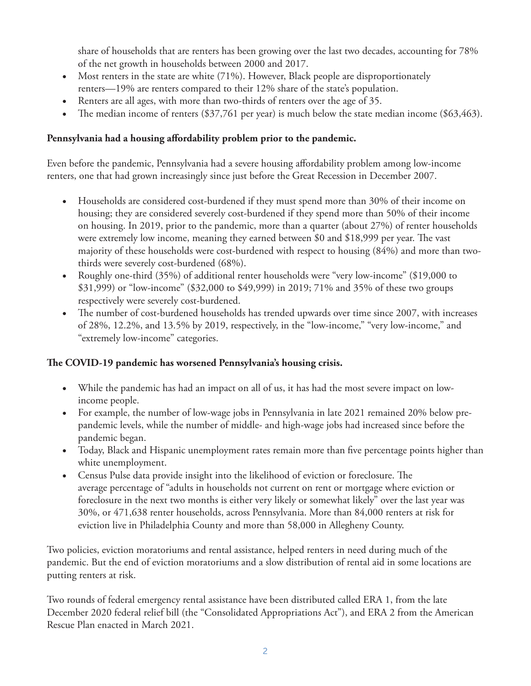share of households that are renters has been growing over the last two decades, accounting for 78% of the net growth in households between 2000 and 2017.

- Most renters in the state are white (71%). However, Black people are disproportionately renters—19% are renters compared to their 12% share of the state's population.
- Renters are all ages, with more than two-thirds of renters over the age of 35.
- The median income of renters (\$37,761 per year) is much below the state median income (\$63,463).

## **Pennsylvania had a housing affordability problem prior to the pandemic.**

Even before the pandemic, Pennsylvania had a severe housing affordability problem among low-income renters, one that had grown increasingly since just before the Great Recession in December 2007.

- Households are considered cost-burdened if they must spend more than 30% of their income on housing; they are considered severely cost-burdened if they spend more than 50% of their income on housing. In 2019, prior to the pandemic, more than a quarter (about 27%) of renter households were extremely low income, meaning they earned between \$0 and \$18,999 per year. The vast majority of these households were cost-burdened with respect to housing (84%) and more than twothirds were severely cost-burdened (68%).
- Roughly one-third (35%) of additional renter households were "very low-income" (\$19,000 to \$31,999) or "low-income" (\$32,000 to \$49,999) in 2019; 71% and 35% of these two groups respectively were severely cost-burdened.
- The number of cost-burdened households has trended upwards over time since 2007, with increases of 28%, 12.2%, and 13.5% by 2019, respectively, in the "low-income," "very low-income," and "extremely low-income" categories.

## **The COVID-19 pandemic has worsened Pennsylvania's housing crisis.**

- While the pandemic has had an impact on all of us, it has had the most severe impact on lowincome people.
- For example, the number of low-wage jobs in Pennsylvania in late 2021 remained 20% below prepandemic levels, while the number of middle- and high-wage jobs had increased since before the pandemic began.
- Today, Black and Hispanic unemployment rates remain more than five percentage points higher than white unemployment.
- Census Pulse data provide insight into the likelihood of eviction or foreclosure. The average percentage of "adults in households not current on rent or mortgage where eviction or foreclosure in the next two months is either very likely or somewhat likely" over the last year was 30%, or 471,638 renter households, across Pennsylvania. More than 84,000 renters at risk for eviction live in Philadelphia County and more than 58,000 in Allegheny County.

Two policies, eviction moratoriums and rental assistance, helped renters in need during much of the pandemic. But the end of eviction moratoriums and a slow distribution of rental aid in some locations are putting renters at risk.

Two rounds of federal emergency rental assistance have been distributed called ERA 1, from the late December 2020 federal relief bill (the "Consolidated Appropriations Act"), and ERA 2 from the American Rescue Plan enacted in March 2021.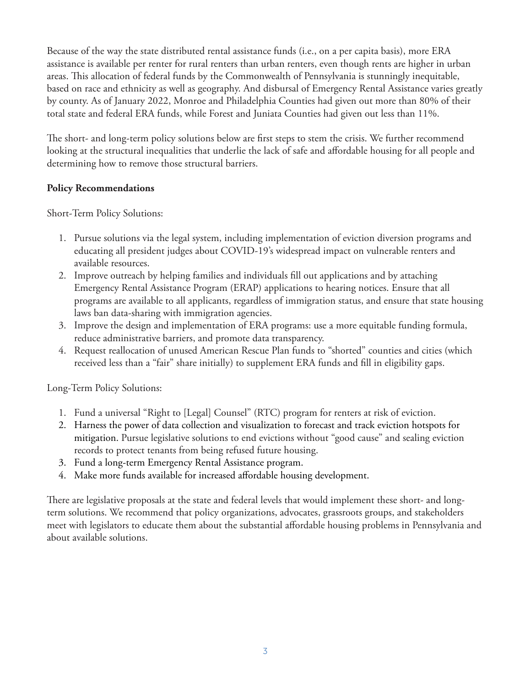Because of the way the state distributed rental assistance funds (i.e., on a per capita basis), more ERA assistance is available per renter for rural renters than urban renters, even though rents are higher in urban areas. This allocation of federal funds by the Commonwealth of Pennsylvania is stunningly inequitable, based on race and ethnicity as well as geography. And disbursal of Emergency Rental Assistance varies greatly by county. As of January 2022, Monroe and Philadelphia Counties had given out more than 80% of their total state and federal ERA funds, while Forest and Juniata Counties had given out less than 11%.

The short- and long-term policy solutions below are first steps to stem the crisis. We further recommend looking at the structural inequalities that underlie the lack of safe and affordable housing for all people and determining how to remove those structural barriers.

## **Policy Recommendations**

Short-Term Policy Solutions:

- 1. Pursue solutions via the legal system, including implementation of eviction diversion programs and educating all president judges about COVID-19's widespread impact on vulnerable renters and available resources.
- 2. Improve outreach by helping families and individuals fill out applications and by attaching Emergency Rental Assistance Program (ERAP) applications to hearing notices. Ensure that all programs are available to all applicants, regardless of immigration status, and ensure that state housing laws ban data-sharing with immigration agencies.
- 3. Improve the design and implementation of ERA programs: use a more equitable funding formula, reduce administrative barriers, and promote data transparency.
- 4. Request reallocation of unused American Rescue Plan funds to "shorted" counties and cities (which received less than a "fair" share initially) to supplement ERA funds and fill in eligibility gaps.

Long-Term Policy Solutions:

- 1. Fund a universal "Right to [Legal] Counsel" (RTC) program for renters at risk of eviction.
- 2. Harness the power of data collection and visualization to forecast and track eviction hotspots for mitigation. Pursue legislative solutions to end evictions without "good cause" and sealing eviction records to protect tenants from being refused future housing.
- 3. Fund a long-term Emergency Rental Assistance program.
- 4. Make more funds available for increased affordable housing development.

There are legislative proposals at the state and federal levels that would implement these short- and longterm solutions. We recommend that policy organizations, advocates, grassroots groups, and stakeholders meet with legislators to educate them about the substantial affordable housing problems in Pennsylvania and about available solutions.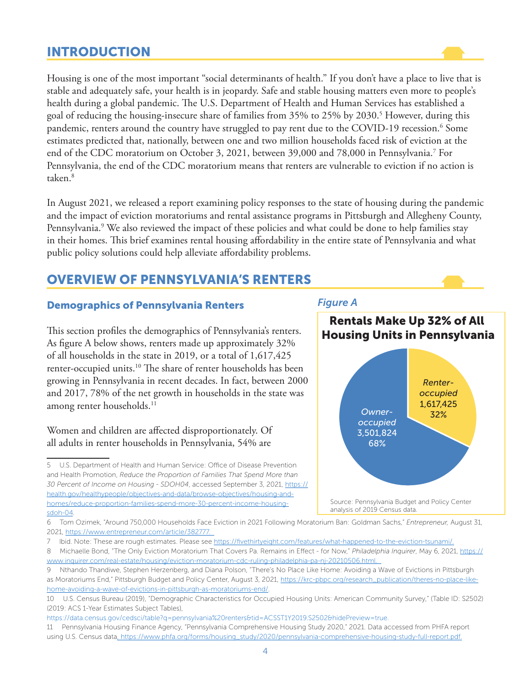# INTRODUCTION

Housing is one of the most important "social determinants of health." If you don't have a place to live that is stable and adequately safe, your health is in jeopardy. Safe and stable housing matters even more to people's health during a global pandemic. The U.S. Department of Health and Human Services has established a goal of reducing the housing-insecure share of families from 35% to 25% by 2030.5 However, during this pandemic, renters around the country have struggled to pay rent due to the COVID-19 recession.<sup>6</sup> Some estimates predicted that, nationally, between one and two million households faced risk of eviction at the end of the CDC moratorium on October 3, 2021, between 39,000 and 78,000 in Pennsylvania.7 For Pennsylvania, the end of the CDC moratorium means that renters are vulnerable to eviction if no action is taken.8

In August 2021, we released a report examining policy responses to the state of housing during the pandemic and the impact of eviction moratoriums and rental assistance programs in Pittsburgh and Allegheny County, Pennsylvania.<sup>9</sup> We also reviewed the impact of these policies and what could be done to help families stay in their homes. This brief examines rental housing affordability in the entire state of Pennsylvania and what public policy solutions could help alleviate affordability problems.

# OVERVIEW OF PENNSYLVANIA'S RENTERS

#### Demographics of Pennsylvania Renters

This section profiles the demographics of Pennsylvania's renters. As figure A below shows, renters made up approximately 32% of all households in the state in 2019, or a total of 1,617,425 renter-occupied units.<sup>10</sup> The share of renter households has been growing in Pennsylvania in recent decades. In fact, between 2000 and 2017, 78% of the net growth in households in the state was among renter households.<sup>11</sup>

## Women and children are affected disproportionately. Of all adults in renter households in Pennsylvania, 54% are

# *Figure A*



<sup>6</sup> Tom Ozimek, "Around 750,000 Households Face Eviction in 2021 Following Moratorium Ban: Goldman Sachs," *Entrepreneur,* August 31, 2021, https://www.entrepreneur.com/article/382777.

https://data.census.gov/cedsci/table?q=pennsylvania%20renters&tid=ACSST1Y2019.S2502&hidePreview=true. 11 Pennsylvania Housing Finance Agency, "Pennsylvania Comprehensive Housing Study 2020," 2021. Data accessed from PHFA report

using U.S. Census data, https://www.phfa.org/forms/housing\_study/2020/pennsylvania-comprehensive-housing-study-full-report.pdf.

<sup>5</sup> U.S. Department of Health and Human Service: Office of Disease Prevention and Health Promotion, *Reduce the Proportion of Families That Spend More than 30 Percent of Income on Housing - SDOH04*, accessed September 3, 2021, https:// health.gov/healthypeople/objectives-and-data/browse-objectives/housing-andhomes/reduce-proportion-families-spend-more-30-percent-income-housingsdoh-04.

<sup>7</sup> Ibid. Note: These are rough estimates. Please see https://fivethirtyeight.com/features/what-happened-to-the-eviction-tsunami/.

<sup>8</sup> Michaelle Bond, "The Only Eviction Moratorium That Covers Pa. Remains in Effect - for Now," *Philadelphia Inquirer*, May 6, 2021, https:// www.inquirer.com/real-estate/housing/eviction-moratorium-cdc-ruling-philadelphia-pa-nj-20210506.html.

<sup>9</sup> Nthando Thandiwe, Stephen Herzenberg, and Diana Polson, "There's No Place Like Home: Avoiding a Wave of Evictions in Pittsburgh as Moratoriums End," Pittsburgh Budget and Policy Center, August 3, 2021, https://krc-pbpc.org/research\_publication/theres-no-place-likehome-avoiding-a-wave-of-evictions-in-pittsburgh-as-moratoriums-end/.

<sup>10</sup> U.S. Census Bureau (2019), "Demographic Characteristics for Occupied Housing Units: American Community Survey," (Table ID: S2502) (2019: ACS 1-Year Estimates Subject Tables),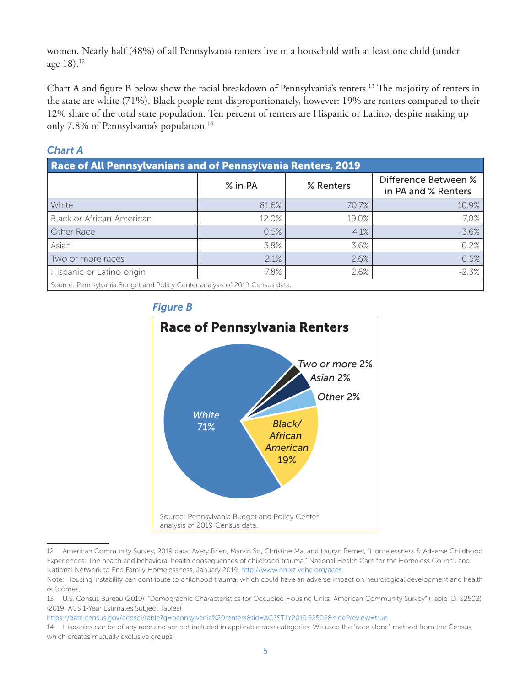women. Nearly half (48%) of all Pennsylvania renters live in a household with at least one child (under age  $18$ ).<sup>12</sup>

Chart A and figure B below show the racial breakdown of Pennsylvania's renters.13 The majority of renters in the state are white (71%). Black people rent disproportionately, however: 19% are renters compared to their 12% share of the total state population. Ten percent of renters are Hispanic or Latino, despite making up only 7.8% of Pennsylvania's population.<sup>14</sup>

## *Chart A*

| <b>Race of All Pennsylvanians and of Pennsylvania Renters, 2019</b>         |         |           |                                             |  |
|-----------------------------------------------------------------------------|---------|-----------|---------------------------------------------|--|
|                                                                             | % in PA | % Renters | Difference Between %<br>in PA and % Renters |  |
| White                                                                       | 81.6%   | 70.7%     | 10.9%                                       |  |
| Black or African-American                                                   | 12.0%   | 19.0%     | $-7.0\%$                                    |  |
| Other Race                                                                  | 0.5%    | 4.1%      | $-3.6%$                                     |  |
| Asian                                                                       | 3.8%    | 3.6%      | 0.2%                                        |  |
| Two or more races                                                           | 2.1%    | 2.6%      | $-0.5%$                                     |  |
| Hispanic or Latino origin                                                   | 7.8%    | 2.6%      | $-2.3%$                                     |  |
| Source: Pennsylvania Budget and Policy Center analysis of 2019 Census data. |         |           |                                             |  |

*Figure B*



<sup>12</sup> American Community Survey, 2019 data; Avery Brien, Marvin So, Christine Ma, and Lauryn Berner, "Homelessness & Adverse Childhood Experiences: The health and behavioral health consequences of childhood trauma," National Health Care for the Homeless Council and National Network to End Family Homelessness, January 2019, http://www.nh xz vchc.org/aces.

https://data.census.gov/cedsci/table?q=pennsylvania%20renters&tid=ACSST1Y2019.S2502&hidePreview=true.

Note: Housing instability can contribute to childhood trauma, which could have an adverse impact on neurological development and health outcomes.

<sup>13</sup> U.S. Census Bureau (2019), "Demographic Characteristics for Occupied Housing Units: American Community Survey" (Table ID: S2502) (2019: ACS 1-Year Estimates Subject Tables),

<sup>14</sup> Hispanics can be of any race and are not included in applicable race categories. We used the "race alone" method from the Census, which creates mutually exclusive groups.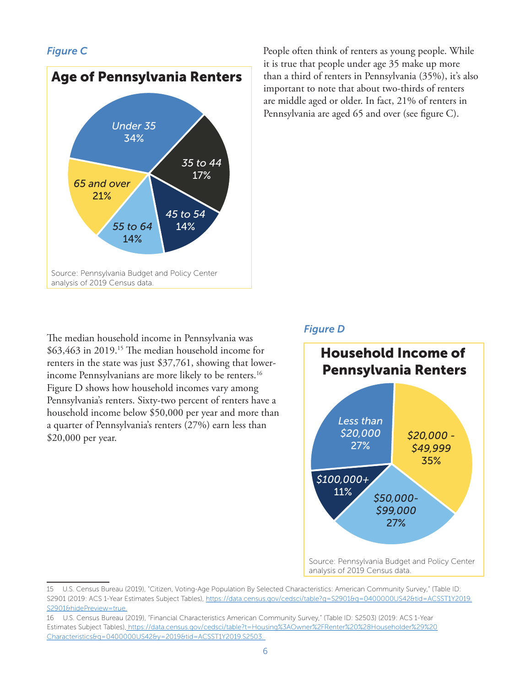## *Figure C*



The median household income in Pennsylvania was \$63,463 in 2019.15 The median household income for renters in the state was just \$37,761, showing that lowerincome Pennsylvanians are more likely to be renters.<sup>16</sup> Figure D shows how household incomes vary among Pennsylvania's renters. Sixty-two percent of renters have a household income below \$50,000 per year and more than a quarter of Pennsylvania's renters (27%) earn less than \$20,000 per year.

People often think of renters as young people. While it is true that people under age 35 make up more than a third of renters in Pennsylvania (35%), it's also important to note that about two-thirds of renters are middle aged or older. In fact, 21% of renters in Pennsylvania are aged 65 and over (see figure C).

## *Figure D*



15 U.S. Census Bureau (2019), "Citizen, Voting-Age Population By Selected Characteristics: American Community Survey," (Table ID: S2901 (2019: ACS 1-Year Estimates Subject Tables), https://data.census.gov/cedsci/table?q=S2901&q=0400000US42&tid=ACSST1Y2019. S2901&hidePreview=true.

<sup>16</sup> U.S. Census Bureau (2019), "Financial Characteristics American Community Survey," (Table ID: S2503) (2019: ACS 1-Year Estimates Subject Tables), https://data.census.gov/cedsci/table?t=Housing%3AOwner%2FRenter%20%28Householder%29%20 Characteristics&g=0400000US42&y=2019&tid=ACSST1Y2019.S2503.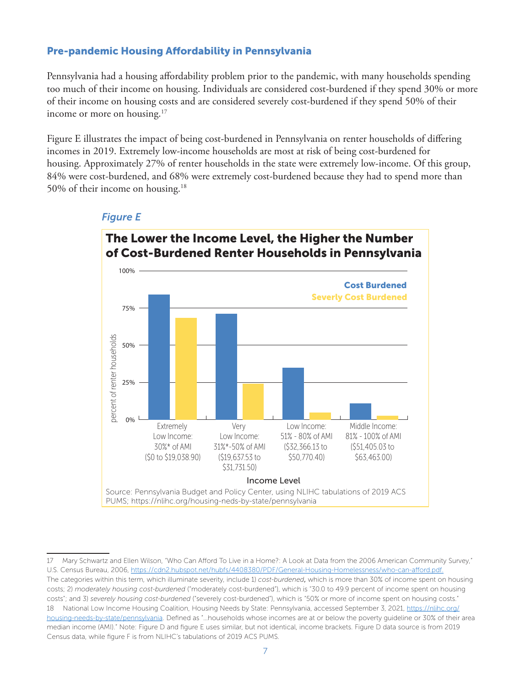## Pre-pandemic Housing Affordability in Pennsylvania

Pennsylvania had a housing affordability problem prior to the pandemic, with many households spending too much of their income on housing. Individuals are considered cost-burdened if they spend 30% or more of their income on housing costs and are considered severely cost-burdened if they spend 50% of their income or more on housing.<sup>17</sup>

Figure E illustrates the impact of being cost-burdened in Pennsylvania on renter households of differing incomes in 2019. Extremely low-income households are most at risk of being cost-burdened for housing. Approximately 27% of renter households in the state were extremely low-income. Of this group, 84% were cost-burdened, and 68% were extremely cost-burdened because they had to spend more than 50% of their income on housing.18



#### *Figure E*

<sup>17</sup> Mary Schwartz and Ellen Wilson, "Who Can Afford To Live in a Home?: A Look at Data from the 2006 American Community Survey," U.S. Census Bureau, 2006, https://cdn2.hubspot.net/hubfs/4408380/PDF/General-Housing-Homelessness/who-can-afford.pdf. The categories within this term, which illuminate severity, include 1) *cost-burdened*, which is more than 30% of income spent on housing costs; 2) *moderately housing cost-burdened* ("moderately cost-burdened"), which is "30.0 to 49.9 percent of income spent on housing costs"; and 3) *severely housing cost-burdened* ("severely cost-burdened"), which is "50% or more of income spent on housing costs." 18 National Low Income Housing Coalition, Housing Needs by State: Pennsylvania, accessed September 3, 2021, https://nlihc.org/ housing-needs-by-state/pennsylvania. Defined as "…households whose incomes are at or below the poverty guideline or 30% of their area median income (AMI)." Note: Figure D and figure E uses similar, but not identical, income brackets. Figure D data source is from 2019 Census data, while figure F is from NLIHC's tabulations of 2019 ACS PUMS.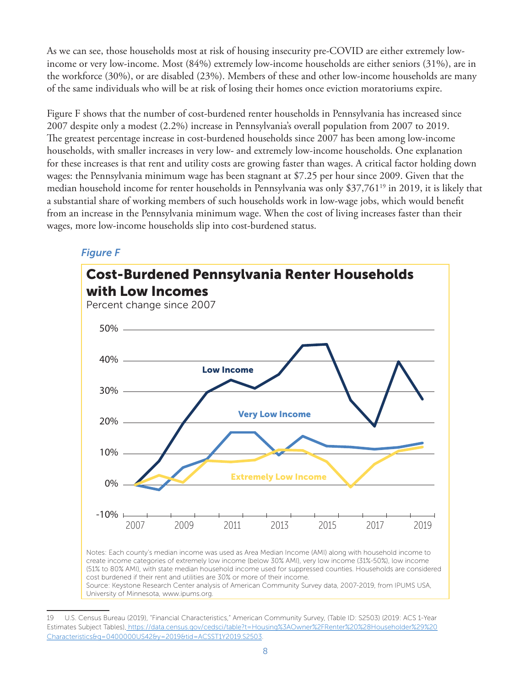As we can see, those households most at risk of housing insecurity pre-COVID are either extremely lowincome or very low-income. Most (84%) extremely low-income households are either seniors (31%), are in the workforce (30%), or are disabled (23%). Members of these and other low-income households are many of the same individuals who will be at risk of losing their homes once eviction moratoriums expire.

Figure F shows that the number of cost-burdened renter households in Pennsylvania has increased since 2007 despite only a modest (2.2%) increase in Pennsylvania's overall population from 2007 to 2019. The greatest percentage increase in cost-burdened households since 2007 has been among low-income households, with smaller increases in very low- and extremely low-income households. One explanation for these increases is that rent and utility costs are growing faster than wages. A critical factor holding down wages: the Pennsylvania minimum wage has been stagnant at \$7.25 per hour since 2009. Given that the median household income for renter households in Pennsylvania was only \$37,761<sup>19</sup> in 2019, it is likely that a substantial share of working members of such households work in low-wage jobs, which would benefit from an increase in the Pennsylvania minimum wage. When the cost of living increases faster than their wages, more low-income households slip into cost-burdened status.

## *Figure F*



University of Minnesota, www.ipums.org.

<sup>19</sup> U.S. Census Bureau (2019), "Financial Characteristics," American Community Survey, (Table ID: S2503) (2019: ACS 1-Year Estimates Subject Tables), https://data.census.gov/cedsci/table?t=Housing%3AOwner%2FRenter%20%28Householder%29%20 Characteristics&g=0400000US42&y=2019&tid=ACSST1Y2019.S2503.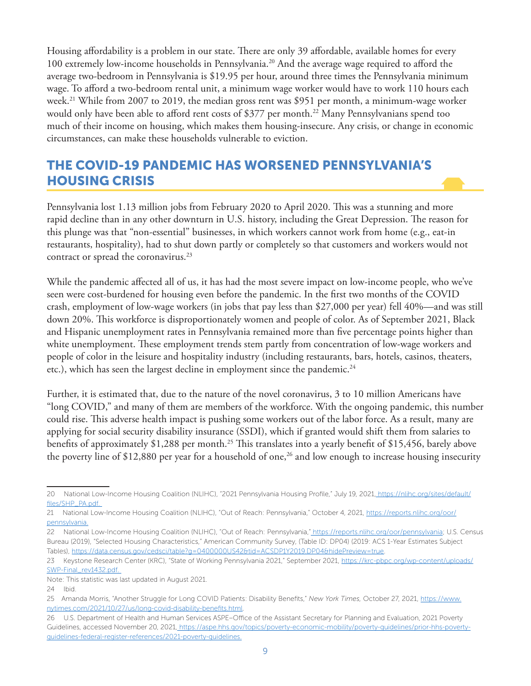Housing affordability is a problem in our state. There are only 39 affordable, available homes for every 100 extremely low-income households in Pennsylvania.20 And the average wage required to afford the average two-bedroom in Pennsylvania is \$19.95 per hour, around three times the Pennsylvania minimum wage. To afford a two-bedroom rental unit, a minimum wage worker would have to work 110 hours each week.<sup>21</sup> While from 2007 to 2019, the median gross rent was \$951 per month, a minimum-wage worker would only have been able to afford rent costs of \$377 per month.<sup>22</sup> Many Pennsylvanians spend too much of their income on housing, which makes them housing-insecure. Any crisis, or change in economic circumstances, can make these households vulnerable to eviction.

# THE COVID-19 PANDEMIC HAS WORSENED PENNSYLVANIA'S HOUSING CRISIS

Pennsylvania lost 1.13 million jobs from February 2020 to April 2020. This was a stunning and more rapid decline than in any other downturn in U.S. history, including the Great Depression. The reason for this plunge was that "non-essential" businesses, in which workers cannot work from home (e.g., eat-in restaurants, hospitality), had to shut down partly or completely so that customers and workers would not contract or spread the coronavirus.<sup>23</sup>

While the pandemic affected all of us, it has had the most severe impact on low-income people, who we've seen were cost-burdened for housing even before the pandemic. In the first two months of the COVID crash, employment of low-wage workers (in jobs that pay less than \$27,000 per year) fell 40%—and was still down 20%. This workforce is disproportionately women and people of color. As of September 2021, Black and Hispanic unemployment rates in Pennsylvania remained more than five percentage points higher than white unemployment. These employment trends stem partly from concentration of low-wage workers and people of color in the leisure and hospitality industry (including restaurants, bars, hotels, casinos, theaters, etc.), which has seen the largest decline in employment since the pandemic.<sup>24</sup>

Further, it is estimated that, due to the nature of the novel coronavirus, 3 to 10 million Americans have "long COVID," and many of them are members of the workforce. With the ongoing pandemic, this number could rise. This adverse health impact is pushing some workers out of the labor force. As a result, many are applying for social security disability insurance (SSDI), which if granted would shift them from salaries to benefits of approximately \$1,288 per month.<sup>25</sup> This translates into a yearly benefit of \$15,456, barely above the poverty line of \$12,880 per year for a household of one,<sup>26</sup> and low enough to increase housing insecurity

<sup>20</sup> National Low-Income Housing Coalition (NLIHC), "2021 Pennsylvania Housing Profile," July 19, 2021, https://nlihc.org/sites/default/ files/SHP\_PA.pdf.

<sup>21</sup> National Low-Income Housing Coalition (NLIHC), "Out of Reach: Pennsylvania," October 4, 2021, https://reports.nlihc.org/oor/ pennsylvania.

<sup>22</sup> National Low-Income Housing Coalition (NLIHC), "Out of Reach: Pennsylvania," https://reports.nlihc.org/oor/pennsylvania; U.S. Census Bureau (2019), "Selected Housing Characteristics," American Community Survey, (Table ID: DP04) (2019: ACS 1-Year Estimates Subject Tables), https://data.census.gov/cedsci/table?g=0400000US42&tid=ACSDP1Y2019.DP04&hidePreview=true.

<sup>23</sup> Keystone Research Center (KRC), "State of Working Pennsylvania 2021," September 2021, https://krc-pbpc.org/wp-content/uploads/ SWP-Final\_rev1432.pdf.

Note: This statistic was last updated in August 2021.

<sup>24</sup> Ibid.

<sup>25</sup> Amanda Morris, "Another Struggle for Long COVID Patients: Disability Benefits," *New York Times,* October 27, 2021, https://www. nytimes.com/2021/10/27/us/long-covid-disability-benefits.html.

<sup>26</sup> U.S. Department of Health and Human Services ASPE–Office of the Assistant Secretary for Planning and Evaluation, 2021 Poverty Guidelines, accessed November 20, 2021, https://aspe.hhs.gov/topics/poverty-economic-mobility/poverty-guidelines/prior-hhs-povertyguidelines-federal-register-references/2021-poverty-guidelines.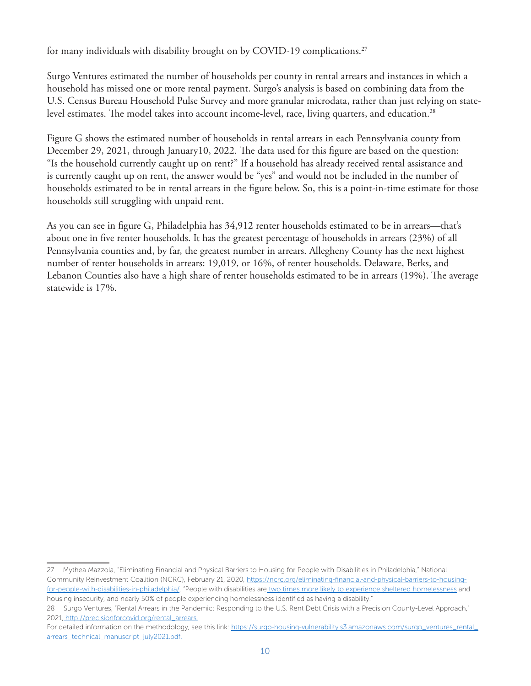for many individuals with disability brought on by COVID-19 complications.<sup>27</sup>

Surgo Ventures estimated the number of households per county in rental arrears and instances in which a household has missed one or more rental payment. Surgo's analysis is based on combining data from the U.S. Census Bureau Household Pulse Survey and more granular microdata, rather than just relying on statelevel estimates. The model takes into account income-level, race, living quarters, and education.<sup>28</sup>

Figure G shows the estimated number of households in rental arrears in each Pennsylvania county from December 29, 2021, through January10, 2022. The data used for this figure are based on the question: "Is the household currently caught up on rent?" If a household has already received rental assistance and is currently caught up on rent, the answer would be "yes" and would not be included in the number of households estimated to be in rental arrears in the figure below. So, this is a point-in-time estimate for those households still struggling with unpaid rent.

As you can see in figure G, Philadelphia has 34,912 renter households estimated to be in arrears—that's about one in five renter households. It has the greatest percentage of households in arrears (23%) of all Pennsylvania counties and, by far, the greatest number in arrears. Allegheny County has the next highest number of renter households in arrears: 19,019, or 16%, of renter households. Delaware, Berks, and Lebanon Counties also have a high share of renter households estimated to be in arrears (19%). The average statewide is 17%.

<sup>27</sup> Mythea Mazzola, "Eliminating Financial and Physical Barriers to Housing for People with Disabilities in Philadelphia," National Community Reinvestment Coalition (NCRC), February 21, 2020, https://ncrc.org/eliminating-financial-and-physical-barriers-to-housingfor-people-with-disabilities-in-philadelphia/. "People with disabilities are two times more likely to experience sheltered homelessness and housing insecurity, and nearly 50% of people experiencing homelessness identified as having a disability."

<sup>28</sup> Surgo Ventures, "Rental Arrears in the Pandemic: Responding to the U.S. Rent Debt Crisis with a Precision County-Level Approach," 2021, http://precisionforcovid.org/rental\_arrears.

For detailed information on the methodology, see this link: https://surgo-housing-vulnerability.s3.amazonaws.com/surgo\_ventures\_rental\_ arrears\_technical\_manuscript\_july2021.pdf.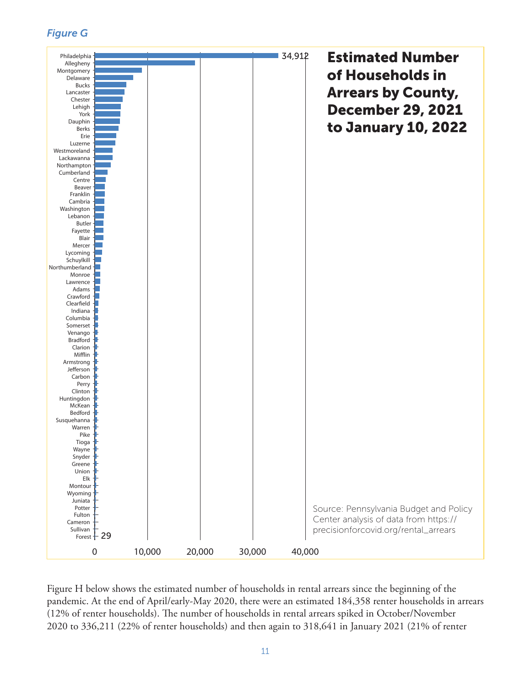*Figure G*



Figure H below shows the estimated number of households in rental arrears since the beginning of the pandemic. At the end of April/early-May 2020, there were an estimated 184,358 renter households in arrears (12% of renter households). The number of households in rental arrears spiked in October/November 2020 to 336,211 (22% of renter households) and then again to 318,641 in January 2021 (21% of renter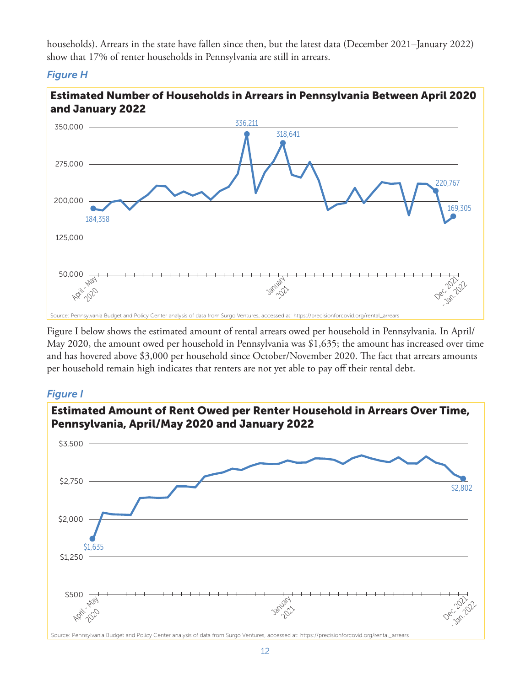households). Arrears in the state have fallen since then, but the latest data (December 2021–January 2022) show that 17% of renter households in Pennsylvania are still in arrears.

## *Figure H*



Figure I below shows the estimated amount of rental arrears owed per household in Pennsylvania. In April/ May 2020, the amount owed per household in Pennsylvania was \$1,635; the amount has increased over time and has hovered above \$3,000 per household since October/November 2020. The fact that arrears amounts per household remain high indicates that renters are not yet able to pay off their rental debt.

## *Figure I*

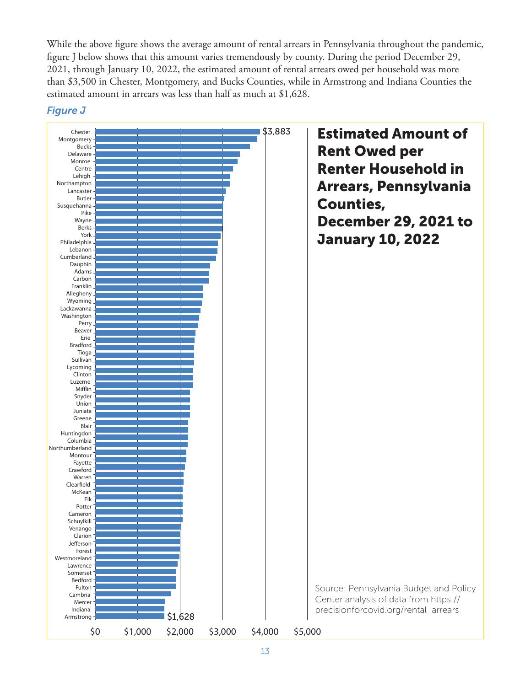While the above figure shows the average amount of rental arrears in Pennsylvania throughout the pandemic, figure J below shows that this amount varies tremendously by county. During the period December 29, 2021, through January 10, 2022, the estimated amount of rental arrears owed per household was more than \$3,500 in Chester, Montgomery, and Bucks Counties, while in Armstrong and Indiana Counties the estimated amount in arrears was less than half as much at \$1,628.



#### *Figure J*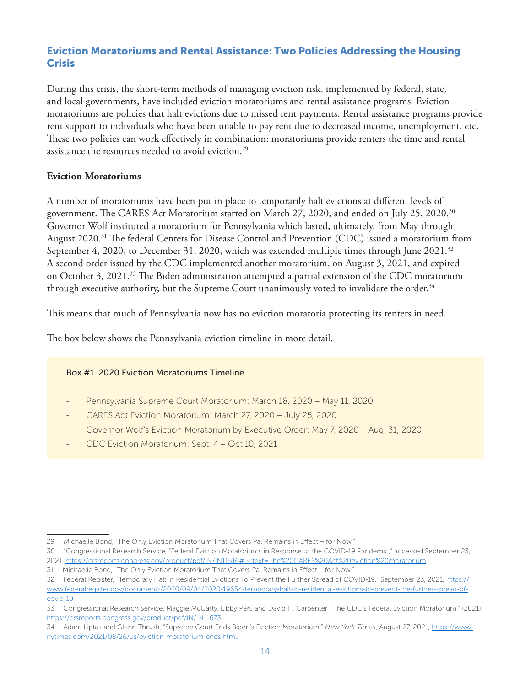## Eviction Moratoriums and Rental Assistance: Two Policies Addressing the Housing **Crisis**

During this crisis, the short-term methods of managing eviction risk, implemented by federal, state, and local governments, have included eviction moratoriums and rental assistance programs. Eviction moratoriums are policies that halt evictions due to missed rent payments. Rental assistance programs provide rent support to individuals who have been unable to pay rent due to decreased income, unemployment, etc. These two policies can work effectively in combination: moratoriums provide renters the time and rental assistance the resources needed to avoid eviction.<sup>29</sup>

## **Eviction Moratoriums**

A number of moratoriums have been put in place to temporarily halt evictions at different levels of government. The CARES Act Moratorium started on March 27, 2020, and ended on July 25, 2020.30 Governor Wolf instituted a moratorium for Pennsylvania which lasted, ultimately, from May through August 2020.<sup>31</sup> The federal Centers for Disease Control and Prevention (CDC) issued a moratorium from September 4, 2020, to December 31, 2020, which was extended multiple times through June 2021.<sup>32</sup> A second order issued by the CDC implemented another moratorium, on August 3, 2021, and expired on October 3, 2021.33 The Biden administration attempted a partial extension of the CDC moratorium through executive authority, but the Supreme Court unanimously voted to invalidate the order.<sup>34</sup>

This means that much of Pennsylvania now has no eviction moratoria protecting its renters in need.

The box below shows the Pennsylvania eviction timeline in more detail.

#### Box #1. 2020 Eviction Moratoriums Timeline

- Pennsylvania Supreme Court Moratorium: March 18, 2020 May 11, 2020
- CARES Act Eviction Moratorium: March 27, 2020 July 25, 2020
- Governor Wolf's Eviction Moratorium by Executive Order: May 7, 2020 Aug. 31, 2020
- CDC Eviction Moratorium: Sept. 4 Oct.10, 2021

<sup>29</sup> Michaelle Bond, "The Only Eviction Moratorium That Covers Pa. Remains in Effect – for Now."

<sup>30 &</sup>quot;Congressional Research Service, "Federal Eviction Moratoriums in Response to the COVID-19 Pandemic," accessed September 23, 2021. https://crsreports.congress.gov/product/pdf/IN/IN11516#:~:text=The%20CARES%20Act%20eviction%20moratorium.

<sup>31</sup> Michaelle Bond, "The Only Eviction Moratorium That Covers Pa. Remains in Effect – for Now."

<sup>32</sup> Federal Register, "Temporary Halt in Residential Evictions To Prevent the Further Spread of COVID-19," September 23, 2021, https:// www.federalregister.gov/documents/2020/09/04/2020-19654/temporary-halt-in-residential-evictions-to-prevent-the-further-spread-ofcovid-19.

<sup>33</sup> Congressional Research Service, Maggie McCarty, Libby Perl, and David H. Carpenter, "The CDC's Federal Eviction Moratorium," (2021), https://crsreports.congress.gov/product/pdf/IN/IN11673.

<sup>34</sup> Adam Liptak and Glenn Thrush, "Supreme Court Ends Biden's Eviction Moratorium," *New York Times*, August 27, 2021, https://www. nytimes.com/2021/08/26/us/eviction-moratorium-ends.html.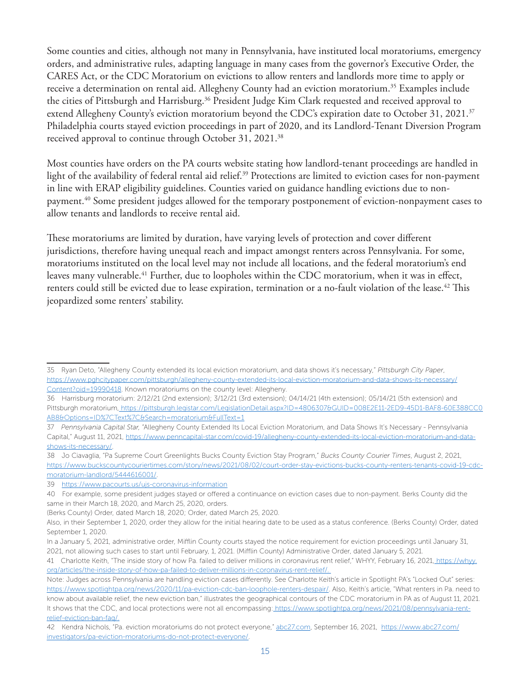Some counties and cities, although not many in Pennsylvania, have instituted local moratoriums, emergency orders, and administrative rules, adapting language in many cases from the governor's Executive Order, the CARES Act, or the CDC Moratorium on evictions to allow renters and landlords more time to apply or receive a determination on rental aid. Allegheny County had an eviction moratorium.35 Examples include the cities of Pittsburgh and Harrisburg.<sup>36</sup> President Judge Kim Clark requested and received approval to extend Allegheny County's eviction moratorium beyond the CDC's expiration date to October 31, 2021.<sup>37</sup> Philadelphia courts stayed eviction proceedings in part of 2020, and its Landlord-Tenant Diversion Program received approval to continue through October 31, 2021.38

Most counties have orders on the PA courts website stating how landlord-tenant proceedings are handled in light of the availability of federal rental aid relief.<sup>39</sup> Protections are limited to eviction cases for non-payment in line with ERAP eligibility guidelines. Counties varied on guidance handling evictions due to nonpayment.40 Some president judges allowed for the temporary postponement of eviction-nonpayment cases to allow tenants and landlords to receive rental aid.

These moratoriums are limited by duration, have varying levels of protection and cover different jurisdictions, therefore having unequal reach and impact amongst renters across Pennsylvania. For some, moratoriums instituted on the local level may not include all locations, and the federal moratorium's end leaves many vulnerable.41 Further, due to loopholes within the CDC moratorium, when it was in effect, renters could still be evicted due to lease expiration, termination or a no-fault violation of the lease.<sup>42</sup> This jeopardized some renters' stability.

<sup>35</sup> Ryan Deto, "Allegheny County extended its local eviction moratorium, and data shows it's necessary," *Pittsburgh City Paper*, https://www.pghcitypaper.com/pittsburgh/allegheny-county-extended-its-local-eviction-moratorium-and-data-shows-its-necessary/ Content?oid=19990418. Known moratoriums on the county level: Allegheny.

<sup>36</sup> Harrisburg moratorium: 2/12/21 (2nd extension); 3/12/21 (3rd extension); 04/14/21 (4th extension); 05/14/21 (5th extension) and Pittsburgh moratorium, https://pittsburgh.legistar.com/LegislationDetail.aspx?ID=4806307&GUID=008E2E11-2ED9-45D1-BAF8-60E388CC0 AB8&Options=ID%7CText%7C&Search=moratorium&FullText=1

<sup>37</sup> *Pennsylvania Capital Star,* "Allegheny County Extended Its Local Eviction Moratorium, and Data Shows It's Necessary - Pennsylvania Capital," August 11, 2021, https://www.penncapital-star.com/covid-19/allegheny-county-extended-its-local-eviction-moratorium-and-datashows-its-necessary/.

<sup>38</sup> Jo Ciavaglia, "Pa Supreme Court Greenlights Bucks County Eviction Stay Program," *Bucks County Courier Times*, August 2, 2021, https://www.buckscountycouriertimes.com/story/news/2021/08/02/court-order-stay-evictions-bucks-county-renters-tenants-covid-19-cdcmoratorium-landlord/5444616001/.

<sup>39</sup> https://www.pacourts.us/ujs-coronavirus-information

<sup>40</sup> For example, some president judges stayed or offered a continuance on eviction cases due to non-payment. Berks County did the same in their March 18, 2020, and March 25, 2020, orders.

<sup>(</sup>Berks County) Order, dated March 18, 2020; Order, dated March 25, 2020.

Also, in their September 1, 2020, order they allow for the initial hearing date to be used as a status conference. (Berks County) Order, dated September 1, 2020.

In a January 5, 2021, administrative order, Mifflin County courts stayed the notice requirement for eviction proceedings until January 31, 2021, not allowing such cases to start until February, 1, 2021. (Mifflin County) Administrative Order, dated January 5, 2021.

<sup>41</sup> Charlotte Keith, "The inside story of how Pa. failed to deliver millions in coronavirus rent relief," WHYY, February 16, 2021, https://whyy. org/articles/the-inside-story-of-how-pa-failed-to-deliver-millions-in-coronavirus-rent-relief/.

Note: Judges across Pennsylvania are handling eviction cases differently. See Charlotte Keith's article in Spotlight PA's "Locked Out" series: https://www.spotlightpa.org/news/2020/11/pa-eviction-cdc-ban-loophole-renters-despair/. Also, Keith's article, "What renters in Pa. need to know about available relief, the new eviction ban," illustrates the geographical contours of the CDC moratorium in PA as of August 11, 2021. It shows that the CDC, and local protections were not all encompassing: https://www.spotlightpa.org/news/2021/08/pennsylvania-rentrelief-eviction-ban-faq/.

<sup>42</sup> Kendra Nichols, "Pa. eviction moratoriums do not protect everyone," abc27.com, September 16, 2021, https://www.abc27.com/ investigators/pa-eviction-moratoriums-do-not-protect-everyone/.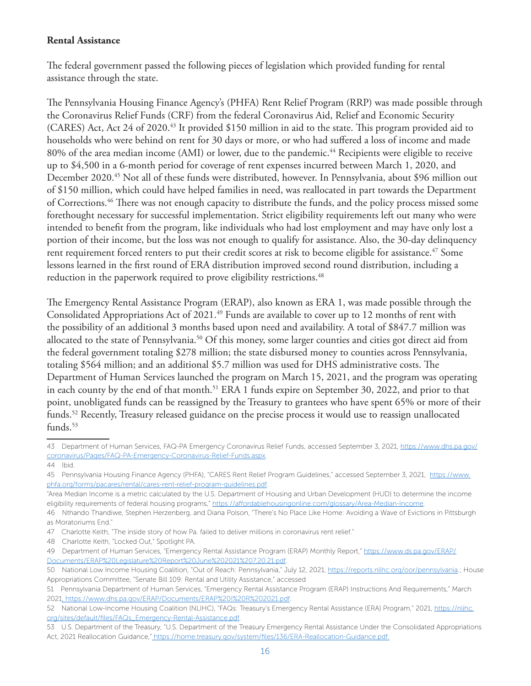#### **Rental Assistance**

The federal government passed the following pieces of legislation which provided funding for rental assistance through the state.

The Pennsylvania Housing Finance Agency's (PHFA) Rent Relief Program (RRP) was made possible through the Coronavirus Relief Funds (CRF) from the federal Coronavirus Aid, Relief and Economic Security (CARES) Act, Act 24 of 2020.<sup>43</sup> It provided \$150 million in aid to the state. This program provided aid to households who were behind on rent for 30 days or more, or who had suffered a loss of income and made 80% of the area median income (AMI) or lower, due to the pandemic.<sup>44</sup> Recipients were eligible to receive up to \$4,500 in a 6-month period for coverage of rent expenses incurred between March 1, 2020, and December 2020.45 Not all of these funds were distributed, however. In Pennsylvania, about \$96 million out of \$150 million, which could have helped families in need, was reallocated in part towards the Department of Corrections.46 There was not enough capacity to distribute the funds, and the policy process missed some forethought necessary for successful implementation. Strict eligibility requirements left out many who were intended to benefit from the program, like individuals who had lost employment and may have only lost a portion of their income, but the loss was not enough to qualify for assistance. Also, the 30-day delinquency rent requirement forced renters to put their credit scores at risk to become eligible for assistance.<sup>47</sup> Some lessons learned in the first round of ERA distribution improved second round distribution, including a reduction in the paperwork required to prove eligibility restrictions.<sup>48</sup>

The Emergency Rental Assistance Program (ERAP), also known as ERA 1, was made possible through the Consolidated Appropriations Act of 2021.<sup>49</sup> Funds are available to cover up to 12 months of rent with the possibility of an additional 3 months based upon need and availability. A total of \$847.7 million was allocated to the state of Pennsylvania.<sup>50</sup> Of this money, some larger counties and cities got direct aid from the federal government totaling \$278 million; the state disbursed money to counties across Pennsylvania, totaling \$564 million; and an additional \$5.7 million was used for DHS administrative costs. The Department of Human Services launched the program on March 15, 2021, and the program was operating in each county by the end of that month.<sup>51</sup> ERA 1 funds expire on September 30, 2022, and prior to that point, unobligated funds can be reassigned by the Treasury to grantees who have spent 65% or more of their funds.52 Recently, Treasury released guidance on the precise process it would use to reassign unallocated  $funds.<sup>53</sup>$ 

47 Charlotte Keith, "The inside story of how Pa. failed to deliver millions in coronavirus rent relief."

48 Charlotte Keith, "Locked Out," Spotlight PA.

- 49 Department of Human Services, "Emergency Rental Assistance Program (ERAP) Monthly Report," https://www.ds.pa.gov/ERAP/ Documents/ERAP%20Legislature%20Report%20June%202021%207.20.21.pdf.
- 50 National Low Income Housing Coalition, "Out of Reach: Pennsylvania," July 12, 2021, https://reports.nlihc.org/oor/pennsylvania.; House Appropriations Committee, "Senate Bill 109: Rental and Utility Assistance," accessed
- 51 Pennsylvania Department of Human Services, "Emergency Rental Assistance Program (ERAP) Instructions And Requirements," March 2021, https://www.dhs.pa.gov/ERAP/Documents/ERAP%20I%20R%202021.pdf.
- 52 National Low-Income Housing Coalition (NLIHC), "FAQs: Treasury's Emergency Rental Assistance (ERA) Program," 2021, https://nlihc. org/sites/default/files/FAQs\_Emergency-Rental-Assistance.pdf.

<sup>43</sup> Department of Human Services, FAQ-PA Emergency Coronavirus Relief Funds, accessed September 3, 2021, https://www.dhs.pa.gov/ coronavirus/Pages/FAQ-PA-Emergency-Coronavirus-Relief-Funds.aspx.

<sup>44</sup> Ibid.

<sup>45</sup> Pennsylvania Housing Finance Agency (PHFA), "CARES Rent Relief Program Guidelines," accessed September 3, 2021, https://www. phfa.org/forms/pacares/rental/cares-rent-relief-program-guidelines.pdf.

<sup>&</sup>quot;Area Median Income is a metric calculated by the U.S. Department of Housing and Urban Development (HUD) to determine the income eligibility requirements of federal housing programs," https://affordablehousingonline.com/glossary/Area-Median-Income.

<sup>46</sup> Nthando Thandiwe, Stephen Herzenberg, and Diana Polson, "There's No Place Like Home: Avoiding a Wave of Evictions in Pittsburgh as Moratoriums End."

<sup>53</sup> U.S. Department of the Treasury, "U.S. Department of the Treasury Emergency Rental Assistance Under the Consolidated Appropriations Act, 2021 Reallocation Guidance," https://home.treasury.gov/system/files/136/ERA-Reallocation-Guidance.pdf.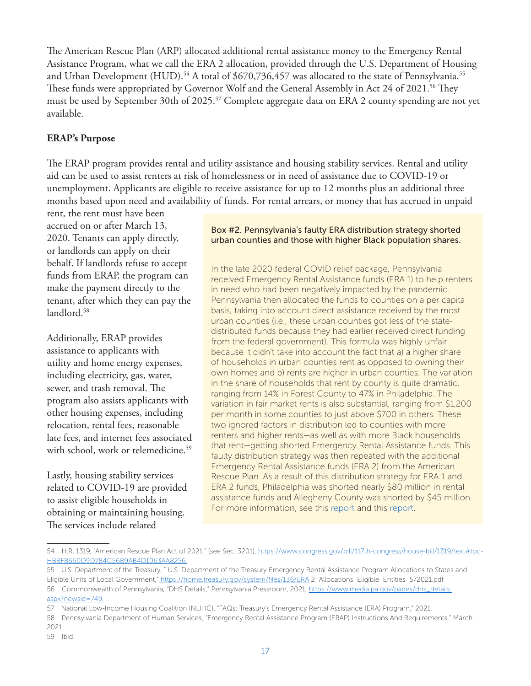The American Rescue Plan (ARP) allocated additional rental assistance money to the Emergency Rental Assistance Program, what we call the ERA 2 allocation, provided through the U.S. Department of Housing and Urban Development (HUD).<sup>54</sup> A total of \$670,736,457 was allocated to the state of Pennsylvania.<sup>55</sup> These funds were appropriated by Governor Wolf and the General Assembly in Act 24 of 2021.<sup>56</sup> They must be used by September 30th of 2025.<sup>57</sup> Complete aggregate data on ERA 2 county spending are not yet available.

## **ERAP's Purpose**

The ERAP program provides rental and utility assistance and housing stability services. Rental and utility aid can be used to assist renters at risk of homelessness or in need of assistance due to COVID-19 or unemployment. Applicants are eligible to receive assistance for up to 12 months plus an additional three months based upon need and availability of funds. For rental arrears, or money that has accrued in unpaid

rent, the rent must have been accrued on or after March 13, 2020. Tenants can apply directly, or landlords can apply on their behalf. If landlords refuse to accept funds from ERAP, the program can make the payment directly to the tenant, after which they can pay the landlord.<sup>58</sup>

Additionally, ERAP provides assistance to applicants with utility and home energy expenses, including electricity, gas, water, sewer, and trash removal. The program also assists applicants with other housing expenses, including relocation, rental fees, reasonable late fees, and internet fees associated with school, work or telemedicine.<sup>59</sup>

Lastly, housing stability services related to COVID-19 are provided to assist eligible households in obtaining or maintaining housing. The services include related

#### Box #2. Pennsylvania's faulty ERA distribution strategy shorted urban counties and those with higher Black population shares.

In the late 2020 federal COVID relief package, Pennsylvania received Emergency Rental Assistance funds (ERA 1) to help renters in need who had been negatively impacted by the pandemic. Pennsylvania then allocated the funds to counties on a per capita basis, taking into account direct assistance received by the most urban counties (i.e., these urban counties got less of the statedistributed funds because they had earlier received direct funding from the federal government). This formula was highly unfair because it didn't take into account the fact that a) a higher share of households in urban counties rent as opposed to owning their own homes and b) rents are higher in urban counties. The variation in the share of households that rent by county is quite dramatic, ranging from 14% in Forest County to 47% in Philadelphia. The variation in fair market rents is also substantial, ranging from \$1,200 per month in some counties to just above \$700 in others. These two ignored factors in distribution led to counties with more renters and higher rents—as well as with more Black households that rent—getting shorted Emergency Rental Assistance funds. This faulty distribution strategy was then repeated with the additional Emergency Rental Assistance funds (ERA 2) from the American Rescue Plan. As a result of this distribution strategy for ERA 1 and ERA 2 funds, Philadelphia was shorted nearly \$80 million in rental assistance funds and Allegheny County was shorted by \$45 million. For more information, see this report and this report.

<sup>54</sup> H.R. 1319, "American Rescue Plan Act of 2021," (see Sec. 3201), https://www.congress.gov/bill/117th-congress/house-bill/1319/text#toc-HBBF8660D9D784C56B9AB4D1063AA8256.

<sup>55</sup> U.S. Department of the Treasury, " U.S. Department of the Treasury Emergency Rental Assistance Program Allocations to States and Eligible Units of Local Government," https://home.treasury.gov/system/files/136/ERA 2\_Allocations\_Eligible\_Entities\_572021.pdf 56 Commonwealth of Pennsylvania, "DHS Details," Pennsylvania Pressroom, 2021, https://www.media.pa.gov/pages/dhs\_details. aspx?newsid=749.

<sup>57</sup> National Low-Income Housing Coalition (NLIHC), "FAQs: Treasury's Emergency Rental Assistance (ERA) Program," 2021.

<sup>58</sup> Pennsylvania Department of Human Services, "Emergency Rental Assistance Program (ERAP) Instructions And Requirements," March 2021.

<sup>59</sup> Ibid.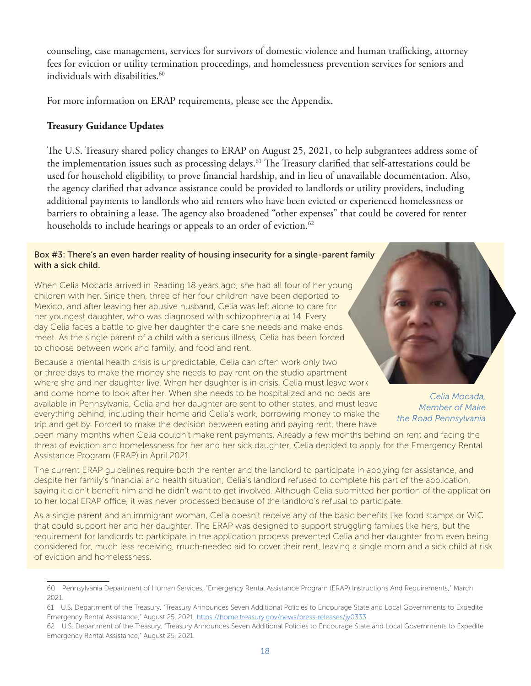counseling, case management, services for survivors of domestic violence and human trafficking, attorney fees for eviction or utility termination proceedings, and homelessness prevention services for seniors and individuals with disabilities.<sup>60</sup>

For more information on ERAP requirements, please see the Appendix.

## **Treasury Guidance Updates**

The U.S. Treasury shared policy changes to ERAP on August 25, 2021, to help subgrantees address some of the implementation issues such as processing delays.<sup>61</sup> The Treasury clarified that self-attestations could be used for household eligibility, to prove financial hardship, and in lieu of unavailable documentation. Also, the agency clarified that advance assistance could be provided to landlords or utility providers, including additional payments to landlords who aid renters who have been evicted or experienced homelessness or barriers to obtaining a lease. The agency also broadened "other expenses" that could be covered for renter households to include hearings or appeals to an order of eviction.<sup>62</sup>

#### Box #3: There's an even harder reality of housing insecurity for a single-parent family with a sick child.

When Celia Mocada arrived in Reading 18 years ago, she had all four of her young children with her. Since then, three of her four children have been deported to Mexico, and after leaving her abusive husband, Celia was left alone to care for her youngest daughter, who was diagnosed with schizophrenia at 14. Every day Celia faces a battle to give her daughter the care she needs and make ends meet. As the single parent of a child with a serious illness, Celia has been forced to choose between work and family, and food and rent.

Because a mental health crisis is unpredictable, Celia can often work only two or three days to make the money she needs to pay rent on the studio apartment where she and her daughter live. When her daughter is in crisis, Celia must leave work and come home to look after her. When she needs to be hospitalized and no beds are available in Pennsylvania, Celia and her daughter are sent to other states, and must leave everything behind, including their home and Celia's work, borrowing money to make the trip and get by. Forced to make the decision between eating and paying rent, there have

*Celia Mocada, Member of Make the Road Pennsylvania*

been many months when Celia couldn't make rent payments. Already a few months behind on rent and facing the threat of eviction and homelessness for her and her sick daughter, Celia decided to apply for the Emergency Rental Assistance Program (ERAP) in April 2021.

The current ERAP guidelines require both the renter and the landlord to participate in applying for assistance, and despite her family's financial and health situation, Celia's landlord refused to complete his part of the application, saying it didn't benefit him and he didn't want to get involved. Although Celia submitted her portion of the application to her local ERAP office, it was never processed because of the landlord's refusal to participate.

As a single parent and an immigrant woman, Celia doesn't receive any of the basic benefits like food stamps or WIC that could support her and her daughter. The ERAP was designed to support struggling families like hers, but the requirement for landlords to participate in the application process prevented Celia and her daughter from even being considered for, much less receiving, much-needed aid to cover their rent, leaving a single mom and a sick child at risk of eviction and homelessness.

<sup>60</sup> Pennsylvania Department of Human Services, "Emergency Rental Assistance Program (ERAP) Instructions And Requirements," March 2021.

<sup>61</sup> U.S. Department of the Treasury, "Treasury Announces Seven Additional Policies to Encourage State and Local Governments to Expedite Emergency Rental Assistance," August 25, 2021, https://home.treasury.gov/news/press-releases/jy0333.

<sup>62</sup> U.S. Department of the Treasury, "Treasury Announces Seven Additional Policies to Encourage State and Local Governments to Expedite Emergency Rental Assistance," August 25, 2021.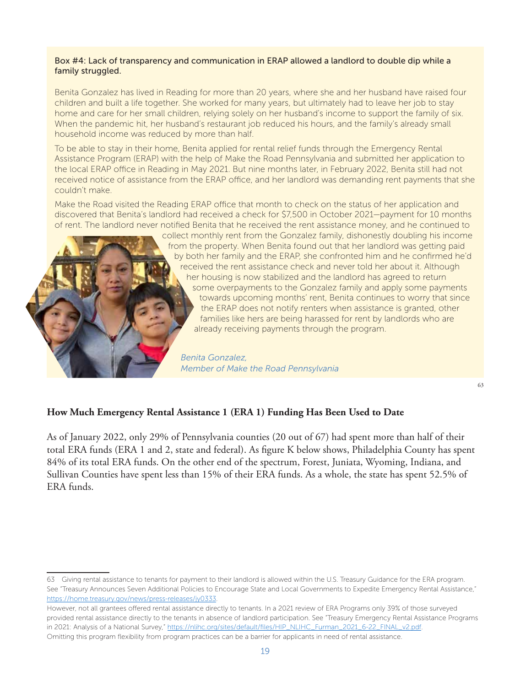#### Box #4: Lack of transparency and communication in ERAP allowed a landlord to double dip while a family struggled.

Benita Gonzalez has lived in Reading for more than 20 years, where she and her husband have raised four children and built a life together. She worked for many years, but ultimately had to leave her job to stay home and care for her small children, relying solely on her husband's income to support the family of six. When the pandemic hit, her husband's restaurant job reduced his hours, and the family's already small household income was reduced by more than half.

To be able to stay in their home, Benita applied for rental relief funds through the Emergency Rental Assistance Program (ERAP) with the help of Make the Road Pennsylvania and submitted her application to the local ERAP office in Reading in May 2021. But nine months later, in February 2022, Benita still had not received notice of assistance from the ERAP office, and her landlord was demanding rent payments that she couldn't make.

Make the Road visited the Reading ERAP office that month to check on the status of her application and discovered that Benita's landlord had received a check for \$7,500 in October 2021—payment for 10 months of rent. The landlord never notified Benita that he received the rent assistance money, and he continued to

collect monthly rent from the Gonzalez family, dishonestly doubling his income from the property. When Benita found out that her landlord was getting paid by both her family and the ERAP, she confronted him and he confirmed he'd received the rent assistance check and never told her about it. Although her housing is now stabilized and the landlord has agreed to return some overpayments to the Gonzalez family and apply some payments towards upcoming months' rent, Benita continues to worry that since the ERAP does not notify renters when assistance is granted, other families like hers are being harassed for rent by landlords who are already receiving payments through the program.

*Benita Gonzalez, Member of Make the Road Pennsylvania*

63

#### **How Much Emergency Rental Assistance 1 (ERA 1) Funding Has Been Used to Date**

As of January 2022, only 29% of Pennsylvania counties (20 out of 67) had spent more than half of their total ERA funds (ERA 1 and 2, state and federal). As figure K below shows, Philadelphia County has spent 84% of its total ERA funds. On the other end of the spectrum, Forest, Juniata, Wyoming, Indiana, and Sullivan Counties have spent less than 15% of their ERA funds. As a whole, the state has spent 52.5% of ERA funds.

<sup>63</sup> Giving rental assistance to tenants for payment to their landlord is allowed within the U.S. Treasury Guidance for the ERA program. See "Treasury Announces Seven Additional Policies to Encourage State and Local Governments to Expedite Emergency Rental Assistance," https://home.treasury.gov/news/press-releases/jy0333.

However, not all grantees offered rental assistance directly to tenants. In a 2021 review of ERA Programs only 39% of those surveyed provided rental assistance directly to the tenants in absence of landlord participation. See "Treasury Emergency Rental Assistance Programs in 2021: Analysis of a National Survey," https://nlihc.org/sites/default/files/HIP\_NLIHC\_Furman\_2021\_6-22\_FINAL\_v2.pdf. Omitting this program flexibility from program practices can be a barrier for applicants in need of rental assistance.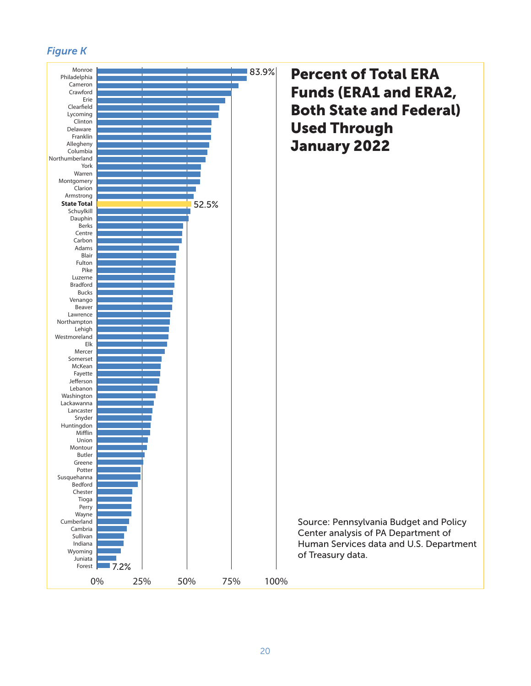## *Figure K*

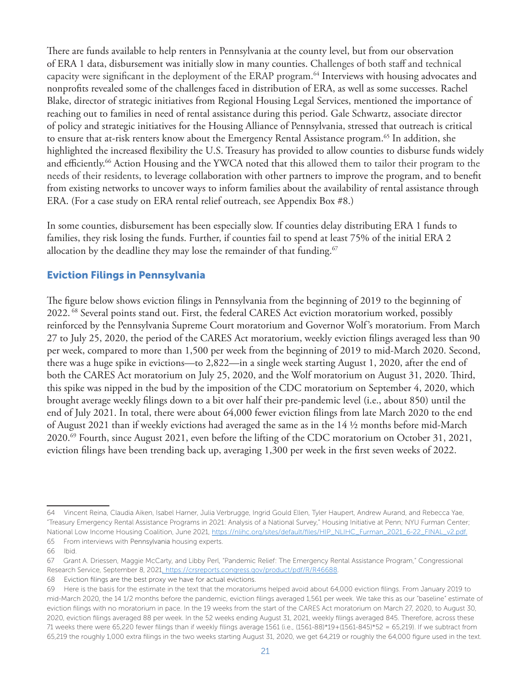There are funds available to help renters in Pennsylvania at the county level, but from our observation of ERA 1 data, disbursement was initially slow in many counties. Challenges of both staff and technical capacity were significant in the deployment of the ERAP program.<sup>64</sup> Interviews with housing advocates and nonprofits revealed some of the challenges faced in distribution of ERA, as well as some successes. Rachel Blake, director of strategic initiatives from Regional Housing Legal Services, mentioned the importance of reaching out to families in need of rental assistance during this period. Gale Schwartz, associate director of policy and strategic initiatives for the Housing Alliance of Pennsylvania, stressed that outreach is critical to ensure that at-risk renters know about the Emergency Rental Assistance program.<sup>65</sup> In addition, she highlighted the increased flexibility the U.S. Treasury has provided to allow counties to disburse funds widely and efficiently.<sup>66</sup> Action Housing and the YWCA noted that this allowed them to tailor their program to the needs of their residents, to leverage collaboration with other partners to improve the program, and to benefit from existing networks to uncover ways to inform families about the availability of rental assistance through ERA. (For a case study on ERA rental relief outreach, see Appendix Box #8.)

In some counties, disbursement has been especially slow. If counties delay distributing ERA 1 funds to families, they risk losing the funds. Further, if counties fail to spend at least 75% of the initial ERA 2 allocation by the deadline they may lose the remainder of that funding.<sup>67</sup>

## Eviction Filings in Pennsylvania

The figure below shows eviction filings in Pennsylvania from the beginning of 2019 to the beginning of 2022. 68 Several points stand out. First, the federal CARES Act eviction moratorium worked, possibly reinforced by the Pennsylvania Supreme Court moratorium and Governor Wolf's moratorium. From March 27 to July 25, 2020, the period of the CARES Act moratorium, weekly eviction filings averaged less than 90 per week, compared to more than 1,500 per week from the beginning of 2019 to mid-March 2020. Second, there was a huge spike in evictions—to 2,822—in a single week starting August 1, 2020, after the end of both the CARES Act moratorium on July 25, 2020, and the Wolf moratorium on August 31, 2020. Third, this spike was nipped in the bud by the imposition of the CDC moratorium on September 4, 2020, which brought average weekly filings down to a bit over half their pre-pandemic level (i.e., about 850) until the end of July 2021. In total, there were about 64,000 fewer eviction filings from late March 2020 to the end of August 2021 than if weekly evictions had averaged the same as in the 14 ½ months before mid-March 2020.69 Fourth, since August 2021, even before the lifting of the CDC moratorium on October 31, 2021, eviction filings have been trending back up, averaging 1,300 per week in the first seven weeks of 2022.

<sup>64</sup> Vincent Reina, Claudia Aiken, Isabel Harner, Julia Verbrugge, Ingrid Gould Ellen, Tyler Haupert, Andrew Aurand, and Rebecca Yae, "Treasury Emergency Rental Assistance Programs in 2021: Analysis of a National Survey," Housing Initiative at Penn; NYU Furman Center; National Low Income Housing Coalition, June 2021, https://nlihc.org/sites/default/files/HIP\_NLIHC\_Furman\_2021\_6-22\_FINAL\_v2.pdf. 65 From interviews with Pennsylvania housing experts.

<sup>66</sup> Ibid.

<sup>67</sup> Grant A. Driessen, Maggie McCarty, and Libby Perl, "Pandemic Relief: The Emergency Rental Assistance Program," Congressional Research Service, September 8, 2021, https://crsreports.congress.gov/product/pdf/R/R46688.

<sup>68</sup> Eviction filings are the best proxy we have for actual evictions.

<sup>69</sup> Here is the basis for the estimate in the text that the moratoriums helped avoid about 64,000 eviction filings. From January 2019 to mid-March 2020, the 14 1/2 months before the pandemic, eviction filings averaged 1,561 per week. We take this as our "baseline" estimate of eviction filings with no moratorium in pace. In the 19 weeks from the start of the CARES Act moratorium on March 27, 2020, to August 30, 2020, eviction filings averaged 88 per week. In the 52 weeks ending August 31, 2021, weekly filings averaged 845. Therefore, across these 71 weeks there were 65,220 fewer filings than if weekly filings average 1561 (i.e., (1561-88)\*19+(1561-845)\*52 = 65,219). If we subtract from 65,219 the roughly 1,000 extra filings in the two weeks starting August 31, 2020, we get 64,219 or roughly the 64,000 figure used in the text.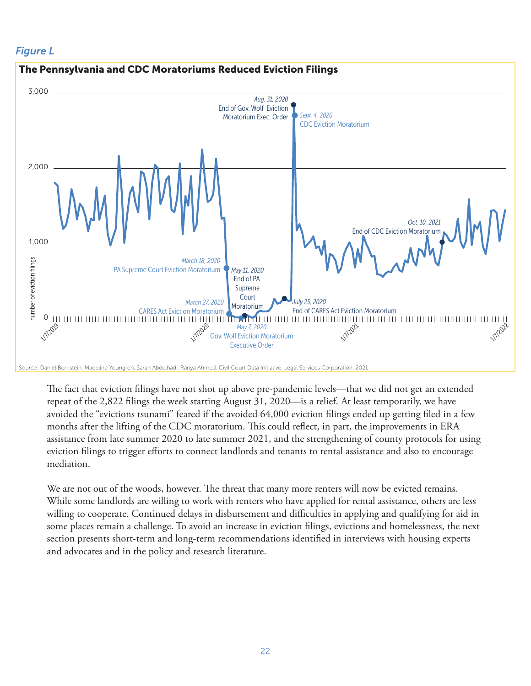## *Figure L*



The fact that eviction filings have not shot up above pre-pandemic levels—that we did not get an extended repeat of the 2,822 filings the week starting August 31, 2020—is a relief. At least temporarily, we have avoided the "evictions tsunami" feared if the avoided 64,000 eviction filings ended up getting filed in a few months after the lifting of the CDC moratorium. This could reflect, in part, the improvements in ERA assistance from late summer 2020 to late summer 2021, and the strengthening of county protocols for using eviction filings to trigger efforts to connect landlords and tenants to rental assistance and also to encourage mediation.

We are not out of the woods, however. The threat that many more renters will now be evicted remains. While some landlords are willing to work with renters who have applied for rental assistance, others are less willing to cooperate. Continued delays in disbursement and difficulties in applying and qualifying for aid in some places remain a challenge. To avoid an increase in eviction filings, evictions and homelessness, the next section presents short-term and long-term recommendations identified in interviews with housing experts and advocates and in the policy and research literature.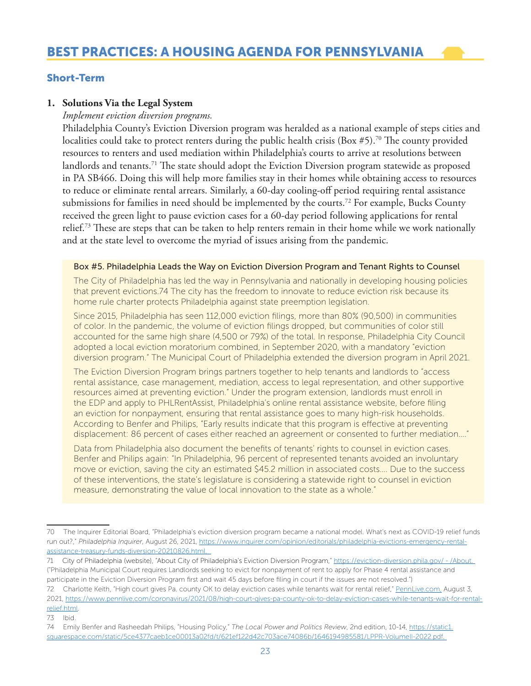## Short-Term

#### **1. Solutions Via the Legal System**

*Implement eviction diversion programs.* 

Philadelphia County's Eviction Diversion program was heralded as a national example of steps cities and localities could take to protect renters during the public health crisis (Box #5).<sup>70</sup> The county provided resources to renters and used mediation within Philadelphia's courts to arrive at resolutions between landlords and tenants.<sup>71</sup> The state should adopt the Eviction Diversion program statewide as proposed in PA SB466. Doing this will help more families stay in their homes while obtaining access to resources to reduce or eliminate rental arrears. Similarly, a 60-day cooling-off period requiring rental assistance submissions for families in need should be implemented by the courts.72 For example, Bucks County received the green light to pause eviction cases for a 60-day period following applications for rental relief.73 These are steps that can be taken to help renters remain in their home while we work nationally and at the state level to overcome the myriad of issues arising from the pandemic.

#### Box #5. Philadelphia Leads the Way on Eviction Diversion Program and Tenant Rights to Counsel

The City of Philadelphia has led the way in Pennsylvania and nationally in developing housing policies that prevent evictions.74 The city has the freedom to innovate to reduce eviction risk because its home rule charter protects Philadelphia against state preemption legislation.

Since 2015, Philadelphia has seen 112,000 eviction filings, more than 80% (90,500) in communities of color. In the pandemic, the volume of eviction filings dropped, but communities of color still accounted for the same high share (4,500 or 79%) of the total. In response, Philadelphia City Council adopted a local eviction moratorium combined, in September 2020, with a mandatory "eviction diversion program." The Municipal Court of Philadelphia extended the diversion program in April 2021.

The Eviction Diversion Program brings partners together to help tenants and landlords to "access rental assistance, case management, mediation, access to legal representation, and other supportive resources aimed at preventing eviction." Under the program extension, landlords must enroll in the EDP and apply to PHLRentAssist, Philadelphia's online rental assistance website, before filing an eviction for nonpayment, ensuring that rental assistance goes to many high-risk households. According to Benfer and Philips, "Early results indicate that this program is effective at preventing displacement: 86 percent of cases either reached an agreement or consented to further mediation…."

Data from Philadelphia also document the benefits of tenants' rights to counsel in eviction cases. Benfer and Philips again: "In Philadelphia, 96 percent of represented tenants avoided an involuntary move or eviction, saving the city an estimated \$45.2 million in associated costs…. Due to the success of these interventions, the state's legislature is considering a statewide right to counsel in eviction measure, demonstrating the value of local innovation to the state as a whole."

- 72 Charlotte Keith, "High court gives Pa. county OK to delay eviction cases while tenants wait for rental relief," PennLive.com, August 3, 2021, https://www.pennlive.com/coronavirus/2021/08/high-court-gives-pa-county-ok-to-delay-eviction-cases-while-tenants-wait-for-rentalrelief.html.
- 73 Ibid.

<sup>70</sup> The Inquirer Editorial Board, "Philadelphia's eviction diversion program became a national model. What's next as COVID-19 relief funds run out?," *Philadelphia Inquirer*, August 26, 2021, https://www.inquirer.com/opinion/editorials/philadelphia-evictions-emergency-rentalassistance-treasury-funds-diversion-20210826.html.

<sup>71</sup> City of Philadelphia (website), "About City of Philadelphia's Eviction Diversion Program," https://eviction-diversion.phila.gov/ - /About. ("Philadelphia Municipal Court requires Landlords seeking to evict for nonpayment of rent to apply for Phase 4 rental assistance and participate in the Eviction Diversion Program first and wait 45 days before filing in court if the issues are not resolved.")

<sup>74</sup> Emily Benfer and Rasheedah Philips, "Housing Policy," *The Local Power and Politics Review*, 2nd edition, 10-14, https://static1. squarespace.com/static/5ce4377caeb1ce00013a02fd/t/621ef122d42c703ace74086b/1646194985581/LPPR-VolumeII-2022.pdf.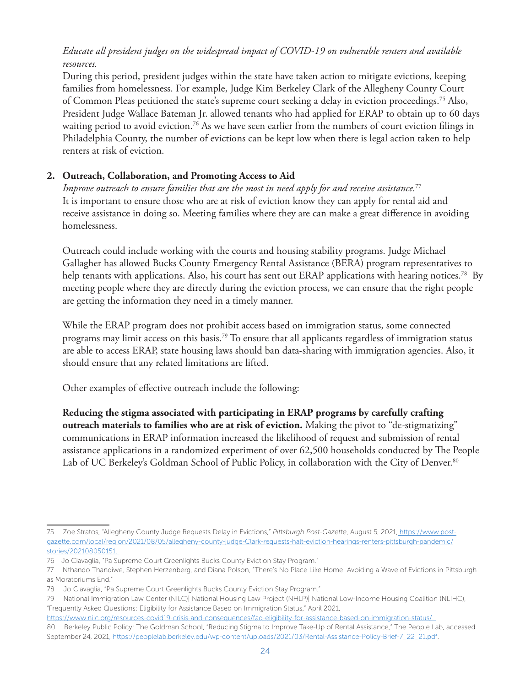## *Educate all president judges on the widespread impact of COVID-19 on vulnerable renters and available resources.*

During this period, president judges within the state have taken action to mitigate evictions, keeping families from homelessness. For example, Judge Kim Berkeley Clark of the Allegheny County Court of Common Pleas petitioned the state's supreme court seeking a delay in eviction proceedings.75 Also, President Judge Wallace Bateman Jr. allowed tenants who had applied for ERAP to obtain up to 60 days waiting period to avoid eviction.<sup>76</sup> As we have seen earlier from the numbers of court eviction filings in Philadelphia County, the number of evictions can be kept low when there is legal action taken to help renters at risk of eviction.

## **2. Outreach, Collaboration, and Promoting Access to Aid**

*Improve outreach to ensure families that are the most in need apply for and receive assistance.*<sup>77</sup> It is important to ensure those who are at risk of eviction know they can apply for rental aid and receive assistance in doing so. Meeting families where they are can make a great difference in avoiding homelessness.

Outreach could include working with the courts and housing stability programs. Judge Michael Gallagher has allowed Bucks County Emergency Rental Assistance (BERA) program representatives to help tenants with applications. Also, his court has sent out ERAP applications with hearing notices.<sup>78</sup> By meeting people where they are directly during the eviction process, we can ensure that the right people are getting the information they need in a timely manner.

While the ERAP program does not prohibit access based on immigration status, some connected programs may limit access on this basis.79 To ensure that all applicants regardless of immigration status are able to access ERAP, state housing laws should ban data-sharing with immigration agencies. Also, it should ensure that any related limitations are lifted.

Other examples of effective outreach include the following:

**Reducing the stigma associated with participating in ERAP programs by carefully crafting outreach materials to families who are at risk of eviction.** Making the pivot to "de-stigmatizing" communications in ERAP information increased the likelihood of request and submission of rental assistance applications in a randomized experiment of over 62,500 households conducted by The People Lab of UC Berkeley's Goldman School of Public Policy, in collaboration with the City of Denver.<sup>80</sup>

<sup>75</sup> Zoe Stratos, "Allegheny County Judge Requests Delay in Evictions," *Pittsburgh Post-Gazette*, August 5, 2021, https://www.postgazette.com/local/region/2021/08/05/allegheny-county-judge-Clark-requests-halt-eviction-hearings-renters-pittsburgh-pandemic/ stories/202108050151.

<sup>76</sup> Jo Ciavaglia, "Pa Supreme Court Greenlights Bucks County Eviction Stay Program."

<sup>77</sup> Nthando Thandiwe, Stephen Herzenberg, and Diana Polson, "There's No Place Like Home: Avoiding a Wave of Evictions in Pittsburgh as Moratoriums End."

<sup>78</sup> Jo Ciavaglia, "Pa Supreme Court Greenlights Bucks County Eviction Stay Program."

<sup>79</sup> National Immigration Law Center (NILC)| National Housing Law Project (NHLP)| National Low-Income Housing Coalition (NLIHC), "Frequently Asked Questions: Eligibility for Assistance Based on Immigration Status," April 2021,

https://www.nilc.org/resources-covid19-crisis-and-consequences/faq-eligibility-for-assistance-based-on-immigration-status/. 80 Berkeley Public Policy: The Goldman School, "Reducing Stigma to Improve Take-Up of Rental Assistance," The People Lab, accessed September 24, 2021, https://peoplelab.berkeley.edu/wp-content/uploads/2021/03/Rental-Assistance-Policy-Brief-7\_22\_21.pdf.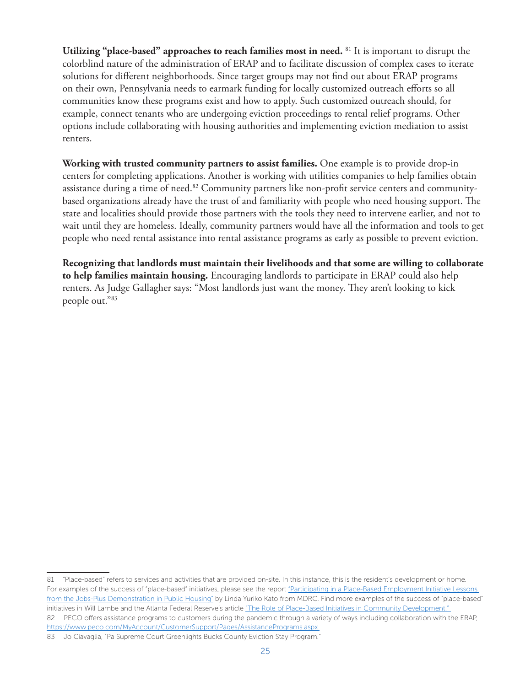**Utilizing "place-based" approaches to reach families most in need.** 81 It is important to disrupt the colorblind nature of the administration of ERAP and to facilitate discussion of complex cases to iterate solutions for different neighborhoods. Since target groups may not find out about ERAP programs on their own, Pennsylvania needs to earmark funding for locally customized outreach efforts so all communities know these programs exist and how to apply. Such customized outreach should, for example, connect tenants who are undergoing eviction proceedings to rental relief programs. Other options include collaborating with housing authorities and implementing eviction mediation to assist renters.

**Working with trusted community partners to assist families.** One example is to provide drop-in centers for completing applications. Another is working with utilities companies to help families obtain assistance during a time of need.<sup>82</sup> Community partners like non-profit service centers and communitybased organizations already have the trust of and familiarity with people who need housing support. The state and localities should provide those partners with the tools they need to intervene earlier, and not to wait until they are homeless. Ideally, community partners would have all the information and tools to get people who need rental assistance into rental assistance programs as early as possible to prevent eviction.

**Recognizing that landlords must maintain their livelihoods and that some are willing to collaborate to help families maintain housing.** Encouraging landlords to participate in ERAP could also help renters. As Judge Gallagher says: "Most landlords just want the money. They aren't looking to kick people out."83

<sup>81 &</sup>quot;Place-based" refers to services and activities that are provided on-site. In this instance, this is the resident's development or home. For examples of the success of "place-based" initiatives, please see the report "Participating in a Place-Based Employment Initiative Lessons from the Jobs-Plus Demonstration in Public Housing" by Linda Yuriko Kato from MDRC. Find more examples of the success of "place-based" initiatives in Will Lambe and the Atlanta Federal Reserve's article "The Role of Place-Based Initiatives in Community Development." 82 PECO offers assistance programs to customers during the pandemic through a variety of ways including collaboration with the ERAP, https://www.peco.com/MyAccount/CustomerSupport/Pages/AssistancePrograms.aspx.

<sup>83</sup> Jo Ciavaglia, "Pa Supreme Court Greenlights Bucks County Eviction Stay Program."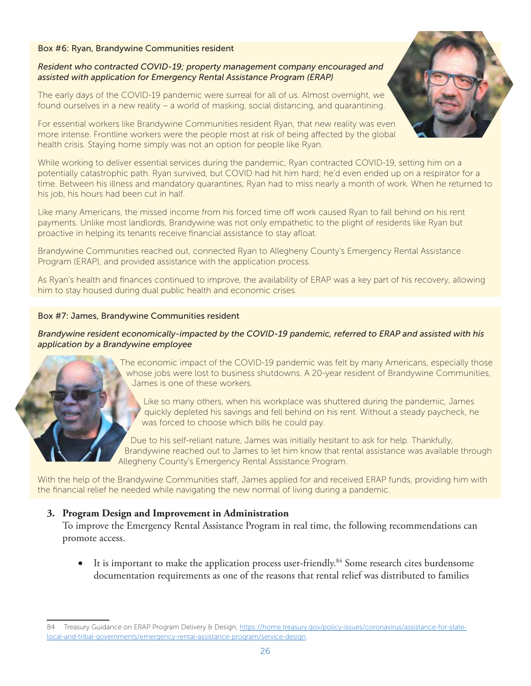#### Box #6: Ryan, Brandywine Communities resident

#### *Resident who contracted COVID-19; property management company encouraged and assisted with application for Emergency Rental Assistance Program (ERAP)*

The early days of the COVID-19 pandemic were surreal for all of us. Almost overnight, we found ourselves in a new reality – a world of masking, social distancing, and quarantining.

For essential workers like Brandywine Communities resident Ryan, that new reality was even more intense. Frontline workers were the people most at risk of being affected by the global health crisis. Staying home simply was not an option for people like Ryan.

While working to deliver essential services during the pandemic, Ryan contracted COVID-19, setting him on a potentially catastrophic path. Ryan survived, but COVID had hit him hard; he'd even ended up on a respirator for a time. Between his illness and mandatory quarantines, Ryan had to miss nearly a month of work. When he returned to his job, his hours had been cut in half.

Like many Americans, the missed income from his forced time off work caused Ryan to fall behind on his rent payments. Unlike most landlords, Brandywine was not only empathetic to the plight of residents like Ryan but proactive in helping its tenants receive financial assistance to stay afloat.

Brandywine Communities reached out, connected Ryan to Allegheny County's Emergency Rental Assistance Program (ERAP), and provided assistance with the application process.

As Ryan's health and finances continued to improve, the availability of ERAP was a key part of his recovery, allowing him to stay housed during dual public health and economic crises.

#### Box #7: James, Brandywine Communities resident

#### *Brandywine resident economically-impacted by the COVID-19 pandemic, referred to ERAP and assisted with his application by a Brandywine employee*



The economic impact of the COVID-19 pandemic was felt by many Americans, especially those whose jobs were lost to business shutdowns. A 20-year resident of Brandywine Communities, James is one of these workers.

Like so many others, when his workplace was shuttered during the pandemic, James quickly depleted his savings and fell behind on his rent. Without a steady paycheck, he was forced to choose which bills he could pay.

Due to his self-reliant nature, James was initially hesitant to ask for help. Thankfully, Brandywine reached out to James to let him know that rental assistance was available through Allegheny County's Emergency Rental Assistance Program.

With the help of the Brandywine Communities staff, James applied for and received ERAP funds, providing him with the financial relief he needed while navigating the new normal of living during a pandemic.

#### **3. Program Design and Improvement in Administration**

To improve the Emergency Rental Assistance Program in real time, the following recommendations can promote access.

• It is important to make the application process user-friendly.<sup>84</sup> Some research cites burdensome documentation requirements as one of the reasons that rental relief was distributed to families



<sup>84</sup> Treasury Guidance on ERAP Program Delivery & Design, https://home.treasury.gov/policy-issues/coronavirus/assistance-for-statelocal-and-tribal-governments/emergency-rental-assistance-program/service-design.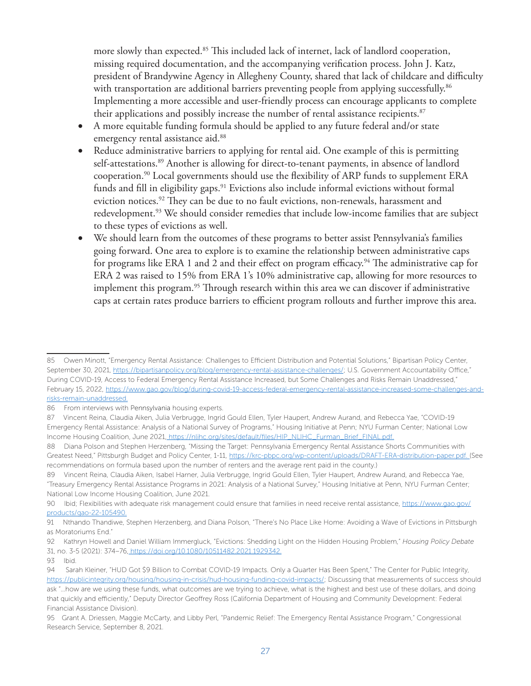more slowly than expected.<sup>85</sup> This included lack of internet, lack of landlord cooperation, missing required documentation, and the accompanying verification process. John J. Katz, president of Brandywine Agency in Allegheny County, shared that lack of childcare and difficulty with transportation are additional barriers preventing people from applying successfully.<sup>86</sup> Implementing a more accessible and user-friendly process can encourage applicants to complete their applications and possibly increase the number of rental assistance recipients.<sup>87</sup>

- A more equitable funding formula should be applied to any future federal and/or state emergency rental assistance aid.<sup>88</sup>
- Reduce administrative barriers to applying for rental aid. One example of this is permitting self-attestations.<sup>89</sup> Another is allowing for direct-to-tenant payments, in absence of landlord cooperation.<sup>90</sup> Local governments should use the flexibility of ARP funds to supplement ERA funds and fill in eligibility gaps.<sup>91</sup> Evictions also include informal evictions without formal eviction notices.<sup>92</sup> They can be due to no fault evictions, non-renewals, harassment and redevelopment.<sup>93</sup> We should consider remedies that include low-income families that are subject to these types of evictions as well.
- We should learn from the outcomes of these programs to better assist Pennsylvania's families going forward. One area to explore is to examine the relationship between administrative caps for programs like ERA 1 and 2 and their effect on program efficacy.<sup>94</sup> The administrative cap for ERA 2 was raised to 15% from ERA 1's 10% administrative cap, allowing for more resources to implement this program.<sup>95</sup> Through research within this area we can discover if administrative caps at certain rates produce barriers to efficient program rollouts and further improve this area.

<sup>85</sup> Owen Minott, "Emergency Rental Assistance: Challenges to Efficient Distribution and Potential Solutions," Bipartisan Policy Center, September 30, 2021, https://bipartisanpolicy.org/blog/emergency-rental-assistance-challenges/; U.S. Government Accountability Office," During COVID-19, Access to Federal Emergency Rental Assistance Increased, but Some Challenges and Risks Remain Unaddressed," February 15, 2022, https://www.gao.gov/blog/during-covid-19-access-federal-emergency-rental-assistance-increased-some-challenges-andrisks-remain-unaddressed.

<sup>86</sup> From interviews with Pennsylvania housing experts.

<sup>87</sup> Vincent Reina, Claudia Aiken, Julia Verbrugge, Ingrid Gould Ellen, Tyler Haupert, Andrew Aurand, and Rebecca Yae, "COVID-19 Emergency Rental Assistance: Analysis of a National Survey of Programs," Housing Initiative at Penn; NYU Furman Center; National Low Income Housing Coalition, June 2021, https://nlihc.org/sites/default/files/HIP\_NLIHC\_Furman\_Brief\_FINAL.pdf.

<sup>88</sup> Diana Polson and Stephen Herzenberg, "Missing the Target: Pennsylvania Emergency Rental Assistance Shorts Communities with Greatest Need," Pittsburgh Budget and Policy Center, 1-11, https://krc-pbpc.org/wp-content/uploads/DRAFT-ERA-distribution-paper.pdf. (See recommendations on formula based upon the number of renters and the average rent paid in the county.)

<sup>89</sup> Vincent Reina, Claudia Aiken, Isabel Harner, Julia Verbrugge, Ingrid Gould Ellen, Tyler Haupert, Andrew Aurand, and Rebecca Yae, "Treasury Emergency Rental Assistance Programs in 2021: Analysis of a National Survey," Housing Initiative at Penn, NYU Furman Center; National Low Income Housing Coalition, June 2021.

<sup>90</sup> Ibid; Flexibilities with adequate risk management could ensure that families in need receive rental assistance, https://www.gao.gov/ products/gao-22-105490.

<sup>91</sup> Nthando Thandiwe, Stephen Herzenberg, and Diana Polson, "There's No Place Like Home: Avoiding a Wave of Evictions in Pittsburgh as Moratoriums End."

<sup>92</sup> Kathryn Howell and Daniel William Immergluck, "Evictions: Shedding Light on the Hidden Housing Problem," *Housing Policy Debate* 31, no. 3-5 (2021): 374–76, https://doi.org/10.1080/10511482.2021.1929342.

<sup>93</sup> Ibid.

<sup>94</sup> Sarah Kleiner, "HUD Got \$9 Billion to Combat COVID-19 Impacts. Only a Quarter Has Been Spent," The Center for Public Integrity, https://publicintegrity.org/housing/housing-in-crisis/hud-housing-funding-covid-impacts/; Discussing that measurements of success should ask "…how are we using these funds, what outcomes are we trying to achieve, what is the highest and best use of these dollars, and doing that quickly and efficiently," Deputy Director Geoffrey Ross (California Department of Housing and Community Development: Federal Financial Assistance Division).

<sup>95</sup> Grant A. Driessen, Maggie McCarty, and Libby Perl, "Pandemic Relief: The Emergency Rental Assistance Program," Congressional Research Service, September 8, 2021.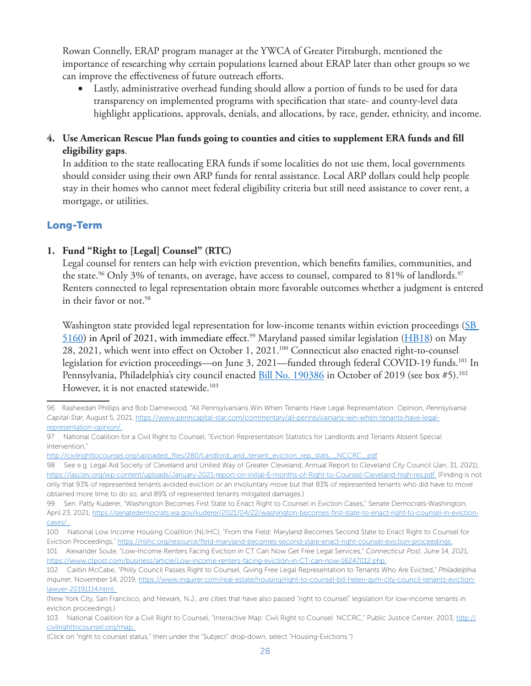Rowan Connelly, ERAP program manager at the YWCA of Greater Pittsburgh, mentioned the importance of researching why certain populations learned about ERAP later than other groups so we can improve the effectiveness of future outreach efforts.

• Lastly, administrative overhead funding should allow a portion of funds to be used for data transparency on implemented programs with specification that state- and county-level data highlight applications, approvals, denials, and allocations, by race, gender, ethnicity, and income.

## **4. Use American Rescue Plan funds going to counties and cities to supplement ERA funds and fill eligibility gaps**.

In addition to the state reallocating ERA funds if some localities do not use them, local governments should consider using their own ARP funds for rental assistance. Local ARP dollars could help people stay in their homes who cannot meet federal eligibility criteria but still need assistance to cover rent, a mortgage, or utilities.

## Long-Term

## **1. Fund "Right to [Legal] Counsel" (RTC)**

Legal counsel for renters can help with eviction prevention, which benefits families, communities, and the state.<sup>96</sup> Only 3% of tenants, on average, have access to counsel, compared to 81% of landlords.<sup>97</sup> Renters connected to legal representation obtain more favorable outcomes whether a judgment is entered in their favor or not.<sup>98</sup>

Washington state provided legal representation for low-income tenants within eviction proceedings (SB 5160) in April of 2021, with immediate effect. 99 Maryland passed similar legislation (HB18) on May 28, 2021, which went into effect on October 1, 2021.100 Connecticut also enacted right-to-counsel legislation for eviction proceedings—on June 3, 2021—funded through federal COVID-19 funds.<sup>101</sup> In Pennsylvania, Philadelphia's city council enacted Bill No. 190386 in October of 2019 (see box #5).<sup>102</sup> However, it is not enacted statewide.<sup>103</sup>

<sup>96</sup> Rasheedah Phillips and Bob Damewood, "All Pennsylvanians Win When Tenants Have Legal Representation: Opinion, *Pennsylvania Capital-Star*, August 5, 2021, https://www.penncapital-star.com/commentary/all-pennsylvanians-win-when-tenants-have-legalrepresentation-opinion/.

<sup>97</sup> National Coalition for a Civil Right to Counsel, "Eviction Representation Statistics for Landlords and Tenants Absent Special Intervention,"

http://civilrighttocounsel.org/uploaded\_files/280/Landlord\_and\_tenant\_eviction\_rep\_stats\_\_NCCRC\_.pdf

<sup>98</sup> See e.g. Legal Aid Society of Cleveland and United Way of Greater Cleveland, Annual Report to Cleveland City Council (Jan. 31, 2021), https://lasclev.org/wp-content/uploads/January-2021-report-on-initial-6-months-of-Right-to-Counsel-Cleveland-high-res.pdf. (Finding is not only that 93% of represented tenants avoided eviction or an involuntary move but that 83% of represented tenants who did have to move obtained more time to do so, and 89% of represented tenants mitigated damages.)

<sup>99</sup> Sen. Patty Kuderer, "Washington Becomes First State to Enact Right to Counsel in Eviction Cases," Senate Democrats-Washington, April 23, 2021, https://senatedemocrats.wa.gov/kuderer/2021/04/22/washington-becomes-first-state-to-enact-right-to-counsel-in-evictioncases/.

<sup>100</sup> National Low Income Housing Coalition (NLIHC), "From the Field: Maryland Becomes Second State to Enact Right to Counsel for Eviction Proceedings," https://nlihc.org/resource/field-maryland-becomes-second-state-enact-right-counsel-eviction-proceedings.

<sup>101</sup> Alexander Soule, "Low-Income Renters Facing Eviction in CT Can Now Get Free Legal Services," *Connecticut Post*, June 14, 2021, https://www.ctpost.com/business/article/Low-income-renters-facing-eviction-in-CT-can-now-16247012.php.

<sup>102</sup> Caitlin McCabe, "Philly Council Passes Right to Counsel, Giving Free Legal Representation to Tenants Who Are Evicted," *Philadelphia Inquirer*, November 14, 2019, https://www.inquirer.com/real-estate/housing/right-to-counsel-bill-helen-gym-city-council-tenants-evictionlawyer-20191114.html.

<sup>(</sup>New York City, San Francisco, and Newark, N.J., are cities that have also passed "right to counsel" legislation for low-income tenants in eviction proceedings.)

<sup>103</sup> National Coalition for a Civil Right to Counsel, "Interactive Map: Civil Right to Counsel: NCCRC," Public Justice Center, 2003, http:// civilrighttocounsel.org/map.

<sup>(</sup>Click on "right to counsel status," then under the "Subject" drop-down, select "Housing-Evictions.")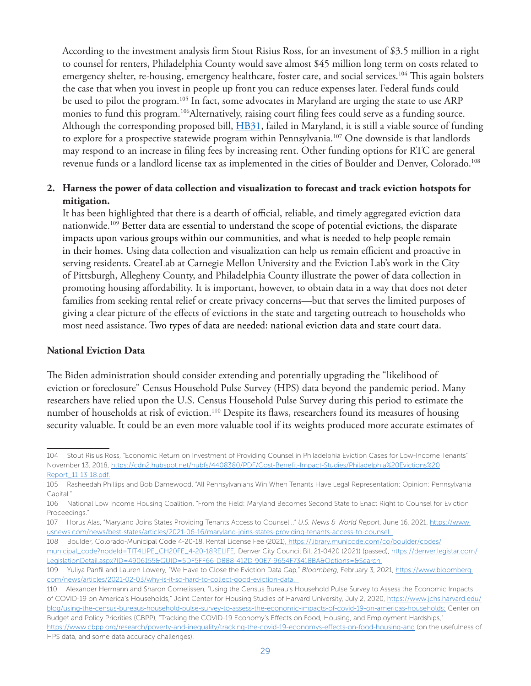According to the investment analysis firm Stout Risius Ross, for an investment of \$3.5 million in a right to counsel for renters, Philadelphia County would save almost \$45 million long term on costs related to emergency shelter, re-housing, emergency healthcare, foster care, and social services.<sup>104</sup> This again bolsters the case that when you invest in people up front you can reduce expenses later. Federal funds could be used to pilot the program.<sup>105</sup> In fact, some advocates in Maryland are urging the state to use ARP monies to fund this program.<sup>106</sup>Alternatively, raising court filing fees could serve as a funding source. Although the corresponding proposed bill, **HB31**, failed in Maryland, it is still a viable source of funding to explore for a prospective statewide program within Pennsylvania.<sup>107</sup> One downside is that landlords may respond to an increase in filing fees by increasing rent. Other funding options for RTC are general revenue funds or a landlord license tax as implemented in the cities of Boulder and Denver, Colorado.<sup>108</sup>

## **2. Harness the power of data collection and visualization to forecast and track eviction hotspots for mitigation.**

It has been highlighted that there is a dearth of official, reliable, and timely aggregated eviction data nationwide.109 Better data are essential to understand the scope of potential evictions, the disparate impacts upon various groups within our communities, and what is needed to help people remain in their homes. Using data collection and visualization can help us remain efficient and proactive in serving residents. CreateLab at Carnegie Mellon University and the Eviction Lab's work in the City of Pittsburgh, Allegheny County, and Philadelphia County illustrate the power of data collection in promoting housing affordability. It is important, however, to obtain data in a way that does not deter families from seeking rental relief or create privacy concerns—but that serves the limited purposes of giving a clear picture of the effects of evictions in the state and targeting outreach to households who most need assistance. Two types of data are needed: national eviction data and state court data.

#### **National Eviction Data**

The Biden administration should consider extending and potentially upgrading the "likelihood of eviction or foreclosure" Census Household Pulse Survey (HPS) data beyond the pandemic period. Many researchers have relied upon the U.S. Census Household Pulse Survey during this period to estimate the number of households at risk of eviction.<sup>110</sup> Despite its flaws, researchers found its measures of housing security valuable. It could be an even more valuable tool if its weights produced more accurate estimates of

HPS data, and some data accuracy challenges).

<sup>104</sup> Stout Risius Ross, "Economic Return on Investment of Providing Counsel in Philadelphia Eviction Cases for Low-Income Tenants" November 13, 2018, https://cdn2.hubspot.net/hubfs/4408380/PDF/Cost-Benefit-Impact-Studies/Philadelphia%20Evictions%20 Report\_11-13-18.pdf.

<sup>105</sup> Rasheedah Phillips and Bob Damewood, "All Pennsylvanians Win When Tenants Have Legal Representation: Opinion: Pennsylvania Capital."

<sup>106</sup> National Low Income Housing Coalition, "From the Field: Maryland Becomes Second State to Enact Right to Counsel for Eviction Proceedings."

<sup>107</sup> Horus Alas, "Maryland Joins States Providing Tenants Access to Counsel..." *U.S. News & World Repor*t, June 16, 2021, https://www. usnews.com/news/best-states/articles/2021-06-16/maryland-joins-states-providing-tenants-access-to-counsel.

<sup>108</sup> Boulder, Colorado-Municipal Code 4-20-18. Rental License Fee (2021), https://library.municode.com/co/boulder/codes/

municipal\_code?nodeId=TIT4LIPE\_CH20FE\_4-20-18RELIFE; Denver City Council Bill 21-0420 (2021) (passed), https://denver.legistar.com/ LegislationDetail.aspx?ID=4906155&GUID=5DF5FF66-D888-412D-90E7-9654F73418BA&Options=&Search.

<sup>109</sup> Yuliya Panfil and Lauren Lowery, "We Have to Close the Eviction Data Gap," *Bloomberg*, February 3, 2021, https://www.bloomberg. com/news/articles/2021-02-03/why-is-it-so-hard-to-collect-good-eviction-data.

<sup>110</sup> Alexander Hermann and Sharon Cornelissen, "Using the Census Bureau's Household Pulse Survey to Assess the Economic Impacts of COVID-19 on America's Households," Joint Center for Housing Studies of Harvard University, July 2, 2020, https://www.jchs.harvard.edu/ blog/using-the-census-bureaus-household-pulse-survey-to-assess-the-economic-impacts-of-covid-19-on-americas-households; Center on Budget and Policy Priorities (CBPP), "Tracking the COVID-19 Economy's Effects on Food, Housing, and Employment Hardships," https://www.cbpp.org/research/poverty-and-inequality/tracking-the-covid-19-economys-effects-on-food-housing-and (on the usefulness of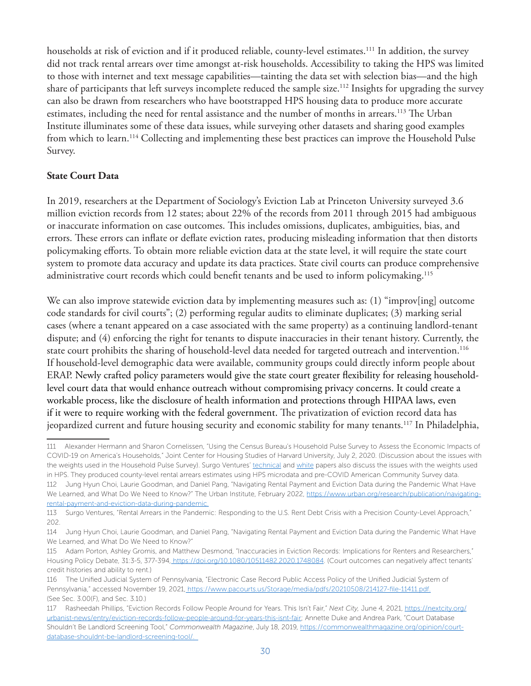households at risk of eviction and if it produced reliable, county-level estimates.111 In addition, the survey did not track rental arrears over time amongst at-risk households. Accessibility to taking the HPS was limited to those with internet and text message capabilities—tainting the data set with selection bias—and the high share of participants that left surveys incomplete reduced the sample size.112 Insights for upgrading the survey can also be drawn from researchers who have bootstrapped HPS housing data to produce more accurate estimates, including the need for rental assistance and the number of months in arrears.<sup>113</sup> The Urban Institute illuminates some of these data issues, while surveying other datasets and sharing good examples from which to learn.<sup>114</sup> Collecting and implementing these best practices can improve the Household Pulse Survey.

#### **State Court Data**

In 2019, researchers at the Department of Sociology's Eviction Lab at Princeton University surveyed 3.6 million eviction records from 12 states; about 22% of the records from 2011 through 2015 had ambiguous or inaccurate information on case outcomes. This includes omissions, duplicates, ambiguities, bias, and errors. These errors can inflate or deflate eviction rates, producing misleading information that then distorts policymaking efforts. To obtain more reliable eviction data at the state level, it will require the state court system to promote data accuracy and update its data practices. State civil courts can produce comprehensive administrative court records which could benefit tenants and be used to inform policymaking.<sup>115</sup>

We can also improve statewide eviction data by implementing measures such as: (1) "improv[ing] outcome code standards for civil courts"; (2) performing regular audits to eliminate duplicates; (3) marking serial cases (where a tenant appeared on a case associated with the same property) as a continuing landlord-tenant dispute; and (4) enforcing the right for tenants to dispute inaccuracies in their tenant history. Currently, the state court prohibits the sharing of household-level data needed for targeted outreach and intervention.<sup>116</sup> If household-level demographic data were available, community groups could directly inform people about ERAP. Newly crafted policy parameters would give the state court greater flexibility for releasing householdlevel court data that would enhance outreach without compromising privacy concerns. It could create a workable process, like the disclosure of health information and protections through HIPAA laws, even if it were to require working with the federal government. The privatization of eviction record data has jeopardized current and future housing security and economic stability for many tenants.117 In Philadelphia,

<sup>111</sup> Alexander Hermann and Sharon Cornelissen, "Using the Census Bureau's Household Pulse Survey to Assess the Economic Impacts of COVID-19 on America's Households," Joint Center for Housing Studies of Harvard University, July 2, 2020. (Discussion about the issues with the weights used in the Household Pulse Survey). Surgo Ventures' technical and white papers also discuss the issues with the weights used in HPS. They produced county-level rental arrears estimates using HPS microdata and pre-COVID American Community Survey data. 112 Jung Hyun Choi, Laurie Goodman, and Daniel Pang, "Navigating Rental Payment and Eviction Data during the Pandemic What Have We Learned, and What Do We Need to Know?" The Urban Institute, February 2022, https://www.urban.org/research/publication/navigatingrental-payment-and-eviction-data-during-pandemic.

<sup>113</sup> Surgo Ventures, "Rental Arrears in the Pandemic: Responding to the U.S. Rent Debt Crisis with a Precision County-Level Approach," 202.

<sup>114</sup> Jung Hyun Choi, Laurie Goodman, and Daniel Pang, "Navigating Rental Payment and Eviction Data during the Pandemic What Have We Learned, and What Do We Need to Know?"

<sup>115</sup> Adam Porton, Ashley Gromis, and Matthew Desmond, "Inaccuracies in Eviction Records: Implications for Renters and Researchers," Housing Policy Debate, 31:3-5, 377-394, https://doi.org/10.1080/10511482.2020.1748084. (Court outcomes can negatively affect tenants' credit histories and ability to rent.)

<sup>116</sup> The Unified Judicial System of Pennsylvania, "Electronic Case Record Public Access Policy of the Unified Judicial System of Pennsylvania," accessed November 19, 2021, https://www.pacourts.us/Storage/media/pdfs/20210508/214127-file-11411.pdf. (See Sec. 3.00(F), and Sec. 3.10.)

<sup>117</sup> Rasheedah Phillips, "Eviction Records Follow People Around for Years. This Isn't Fair," *Next City,* June 4, 2021, https://nextcity.org/ urbanist-news/entry/eviction-records-follow-people-around-for-years-this-isnt-fair; Annette Duke and Andrea Park, "Court Database Shouldn't Be Landlord Screening Tool," *Commonwealth Magazine*, July 18, 2019, https://commonwealthmagazine.org/opinion/courtdatabase-shouldnt-be-landlord-screening-tool/.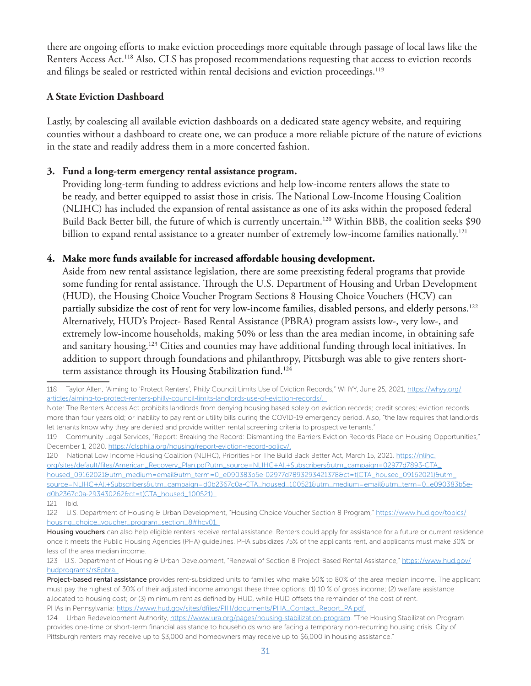there are ongoing efforts to make eviction proceedings more equitable through passage of local laws like the Renters Access Act.<sup>118</sup> Also, CLS has proposed recommendations requesting that access to eviction records and filings be sealed or restricted within rental decisions and eviction proceedings.<sup>119</sup>

#### **A State Eviction Dashboard**

Lastly, by coalescing all available eviction dashboards on a dedicated state agency website, and requiring counties without a dashboard to create one, we can produce a more reliable picture of the nature of evictions in the state and readily address them in a more concerted fashion.

## **3. Fund a long-term emergency rental assistance program.**

Providing long-term funding to address evictions and help low-income renters allows the state to be ready, and better equipped to assist those in crisis. The National Low-Income Housing Coalition (NLIHC) has included the expansion of rental assistance as one of its asks within the proposed federal Build Back Better bill, the future of which is currently uncertain.120 Within BBB, the coalition seeks \$90 billion to expand rental assistance to a greater number of extremely low-income families nationally.<sup>121</sup>

#### **4. Make more funds available for increased affordable housing development.**

Aside from new rental assistance legislation, there are some preexisting federal programs that provide some funding for rental assistance. Through the U.S. Department of Housing and Urban Development (HUD), the Housing Choice Voucher Program Sections 8 Housing Choice Vouchers (HCV) can partially subsidize the cost of rent for very low-income families, disabled persons, and elderly persons.122 Alternatively, HUD's Project- Based Rental Assistance (PBRA) program assists low-, very low-, and extremely low-income households, making 50% or less than the area median income, in obtaining safe and sanitary housing.<sup>123</sup> Cities and counties may have additional funding through local initiatives. In addition to support through foundations and philanthropy, Pittsburgh was able to give renters shortterm assistance through its Housing Stabilization fund.<sup>124</sup>

120 National Low Income Housing Coalition (NLIHC), Priorities For The Build Back Better Act, March 15, 2021, https://nlihc. org/sites/default/files/American\_Recovery\_Plan.pdf?utm\_source=NLIHC+All+Subscribers&utm\_campaign=02977d7893-CTA\_

housed\_09162021&utm\_medium=email&utm\_term=0\_e090383b5e-02977d7893293421378&ct=t(CTA\_housed\_09162021)&utm\_ source=NLIHC+All+Subscribers&utm\_campaign=d0b2367c0a-CTA\_housed\_100521&utm\_medium=email&utm\_term=0\_e090383b5ed0b2367c0a-293430262&ct=t(CTA\_housed\_100521).

<sup>118</sup> Taylor Allen, "Aiming to 'Protect Renters', Philly Council Limits Use of Eviction Records," WHYY, June 25, 2021, https://whyy.org/ articles/aiming-to-protect-renters-philly-council-limits-landlords-use-of-eviction-records/.

Note: The Renters Access Act prohibits landlords from denying housing based solely on eviction records; credit scores; eviction records more than four years old; or inability to pay rent or utility bills during the COVID-19 emergency period. Also, "the law requires that landlords let tenants know why they are denied and provide written rental screening criteria to prospective tenants."

<sup>119</sup> Community Legal Services, "Report: Breaking the Record: Dismantling the Barriers Eviction Records Place on Housing Opportunities," December 1, 2020, https://clsphila.org/housing/report-eviction-record-policy/.

<sup>121</sup> Ibid.

<sup>122</sup> U.S. Department of Housing & Urban Development, "Housing Choice Voucher Section 8 Program," https://www.hud.gov/topics/ housing\_choice\_voucher\_program\_section\_8#hcv01.

Housing vouchers can also help eligible renters receive rental assistance. Renters could apply for assistance for a future or current residence once it meets the Public Housing Agencies (PHA) guidelines. PHA subsidizes 75% of the applicants rent, and applicants must make 30% or less of the area median income.

<sup>123</sup> U.S. Department of Housing & Urban Development, "Renewal of Section 8 Project-Based Rental Assistance," https://www.hud.gov/ hudprograms/rs8pbra.

Project-based rental assistance provides rent-subsidized units to families who make 50% to 80% of the area median income. The applicant must pay the highest of 30% of their adjusted income amongst these three options: (1) 10 % of gross income; (2) welfare assistance allocated to housing cost; or (3) minimum rent as defined by HUD, while HUD offsets the remainder of the cost of rent. PHAs in Pennsylvania: https://www.hud.gov/sites/dfiles/PIH/documents/PHA\_Contact\_Report\_PA.pdf.

<sup>124</sup> Urban Redevelopment Authority, https://www.ura.org/pages/housing-stabilization-program. "The Housing Stabilization Program provides one-time or short-term financial assistance to households who are facing a temporary non-recurring housing crisis. City of Pittsburgh renters may receive up to \$3,000 and homeowners may receive up to \$6,000 in housing assistance."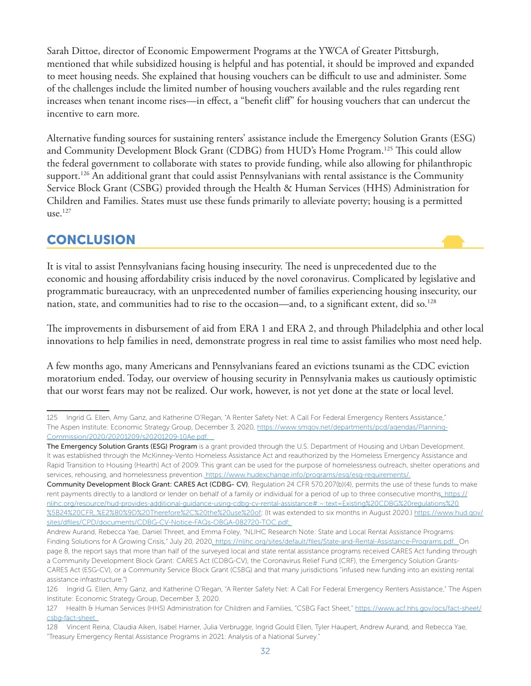Sarah Dittoe, director of Economic Empowerment Programs at the YWCA of Greater Pittsburgh, mentioned that while subsidized housing is helpful and has potential, it should be improved and expanded to meet housing needs. She explained that housing vouchers can be difficult to use and administer. Some of the challenges include the limited number of housing vouchers available and the rules regarding rent increases when tenant income rises—in effect, a "benefit cliff" for housing vouchers that can undercut the incentive to earn more.

Alternative funding sources for sustaining renters' assistance include the Emergency Solution Grants (ESG) and Community Development Block Grant (CDBG) from HUD's Home Program.125 This could allow the federal government to collaborate with states to provide funding, while also allowing for philanthropic support.<sup>126</sup> An additional grant that could assist Pennsylvanians with rental assistance is the Community Service Block Grant (CSBG) provided through the Health & Human Services (HHS) Administration for Children and Families. States must use these funds primarily to alleviate poverty; housing is a permitted  $use.$ <sup>127</sup>

# **CONCLUSION**

It is vital to assist Pennsylvanians facing housing insecurity. The need is unprecedented due to the economic and housing affordability crisis induced by the novel coronavirus. Complicated by legislative and programmatic bureaucracy, with an unprecedented number of families experiencing housing insecurity, our nation, state, and communities had to rise to the occasion—and, to a significant extent, did so.<sup>128</sup>

The improvements in disbursement of aid from ERA 1 and ERA 2, and through Philadelphia and other local innovations to help families in need, demonstrate progress in real time to assist families who most need help.

A few months ago, many Americans and Pennsylvanians feared an evictions tsunami as the CDC eviction moratorium ended. Today, our overview of housing security in Pennsylvania makes us cautiously optimistic that our worst fears may not be realized. Our work, however, is not yet done at the state or local level.

<sup>125</sup> Ingrid G. Ellen, Amy Ganz, and Katherine O'Regan, "A Renter Safety Net: A Call For Federal Emergency Renters Assistance," The Aspen Institute: Economic Strategy Group, December 3, 2020, https://www.smgov.net/departments/pcd/agendas/Planning-Commission/2020/20201209/s20201209-10Ae.pdf.

The Emergency Solution Grants (ESG) Program is a grant provided through the U.S. Department of Housing and Urban Development. It was established through the McKinney-Vento Homeless Assistance Act and reauthorized by the Homeless Emergency Assistance and Rapid Transition to Housing (Hearth) Act of 2009. This grant can be used for the purpose of homelessness outreach, shelter operations and services, rehousing, and homelessness prevention. https://www.hudexchange.info/programs/esg/esg-requirements/.

Community Development Block Grant: CARES Act (CDBG- CV), Regulation 24 CFR 570.207(b)(4), permits the use of these funds to make rent payments directly to a landlord or lender on behalf of a family or individual for a period of up to three consecutive months, https:// nlihc.org/resource/hud-provides-additional-guidance-using-cdbg-cv-rental-assistance#:~:text=Existing%20CDBG%20regulations%20 %5B24%20CFR,.%E2%80%9D%20Therefore%2C%20the%20use%20of; (It was extended to six months in August 2020.) https://www.hud.gov/ sites/dfiles/CPD/documents/CDBG-CV-Notice-FAQs-OBGA-082720-TOC.pdf;

Andrew Aurand, Rebecca Yae, Daniel Threet, and Emma Foley, "NLIHC Research Note: State and Local Rental Assistance Programs: Finding Solutions for A Growing Crisis," July 20, 2020, https://nlihc.org/sites/default/files/State-and-Rental-Assistance-Programs.pdf. On page 8, the report says that more than half of the surveyed local and state rental assistance programs received CARES Act funding through a Community Development Block Grant: CARES Act (CDBG-CV), the Coronavirus Relief Fund (CRF), the Emergency Solution Grants-CARES Act (ESG-CV), or a Community Service Block Grant (CSBG) and that many jurisdictions "infused new funding into an existing rental assistance infrastructure.")

<sup>126</sup> Ingrid G. Ellen, Amy Ganz, and Katherine O'Regan, "A Renter Safety Net: A Call For Federal Emergency Renters Assistance," The Aspen Institute: Economic Strategy Group, December 3, 2020.

<sup>127</sup> Health & Human Services (HHS) Administration for Children and Families, "CSBG Fact Sheet," https://www.acf.hhs.gov/ocs/fact-sheet/ csbg-fact-sheet.

<sup>128</sup> Vincent Reina, Claudia Aiken, Isabel Harner, Julia Verbrugge, Ingrid Gould Ellen, Tyler Haupert, Andrew Aurand, and Rebecca Yae, "Treasury Emergency Rental Assistance Programs in 2021: Analysis of a National Survey."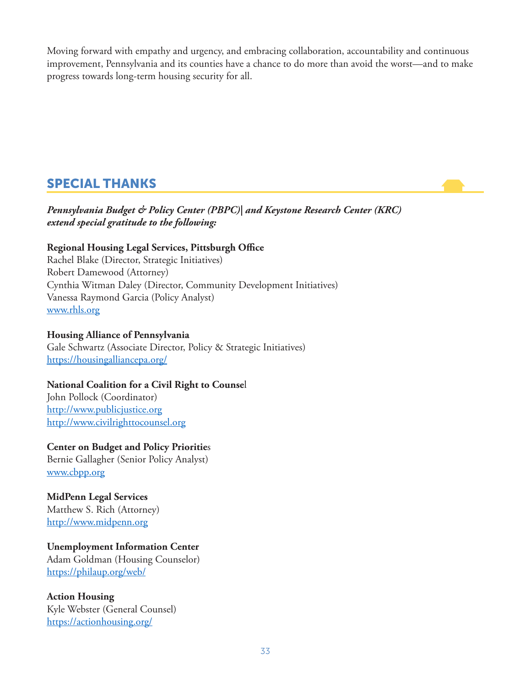Moving forward with empathy and urgency, and embracing collaboration, accountability and continuous improvement, Pennsylvania and its counties have a chance to do more than avoid the worst—and to make progress towards long-term housing security for all.

# SPECIAL THANKS

*Pennsylvania Budget & Policy Center (PBPC)| and Keystone Research Center (KRC) extend special gratitude to the following:*

## **Regional Housing Legal Services, Pittsburgh Office**

Rachel Blake (Director, Strategic Initiatives) Robert Damewood (Attorney) Cynthia Witman Daley (Director, Community Development Initiatives) Vanessa Raymond Garcia (Policy Analyst) www.rhls.org

**Housing Alliance of Pennsylvania** Gale Schwartz (Associate Director, Policy & Strategic Initiatives) https://housingalliancepa.org/

## **National Coalition for a Civil Right to Counse**l

John Pollock (Coordinator) http://www.publicjustice.org http://www.civilrighttocounsel.org

## **Center on Budget and Policy Prioritie**s

Bernie Gallagher (Senior Policy Analyst) www.cbpp.org

## **MidPenn Legal Services**

Matthew S. Rich (Attorney) http://www.midpenn.org

## **Unemployment Information Center**

Adam Goldman (Housing Counselor) https://philaup.org/web/

**Action Housing** Kyle Webster (General Counsel) https://actionhousing.org/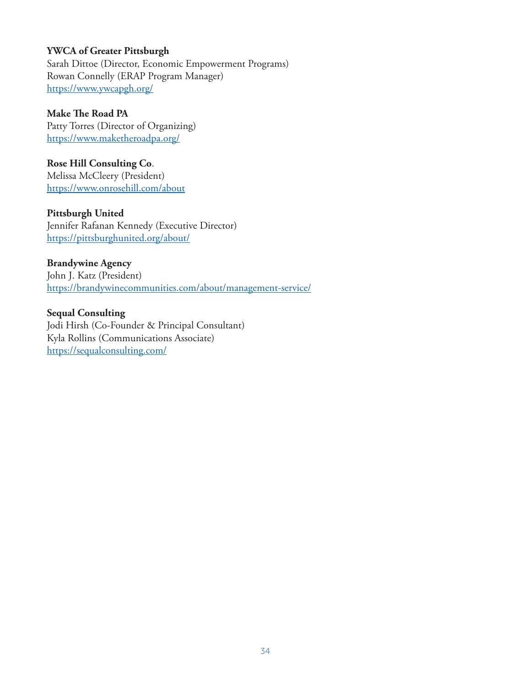#### **YWCA of Greater Pittsburgh**

Sarah Dittoe (Director, Economic Empowerment Programs) Rowan Connelly (ERAP Program Manager) https://www.ywcapgh.org/

**Make The Road PA** Patty Torres (Director of Organizing)

https://www.maketheroadpa.org/

**Rose Hill Consulting Co**. Melissa McCleery (President) https://www.onrosehill.com/about

**Pittsburgh United** Jennifer Rafanan Kennedy (Executive Director) https://pittsburghunited.org/about/

**Brandywine Agency** John J. Katz (President) https://brandywinecommunities.com/about/management-service/

**Sequal Consulting** Jodi Hirsh (Co-Founder & Principal Consultant) Kyla Rollins (Communications Associate) https://sequalconsulting.com/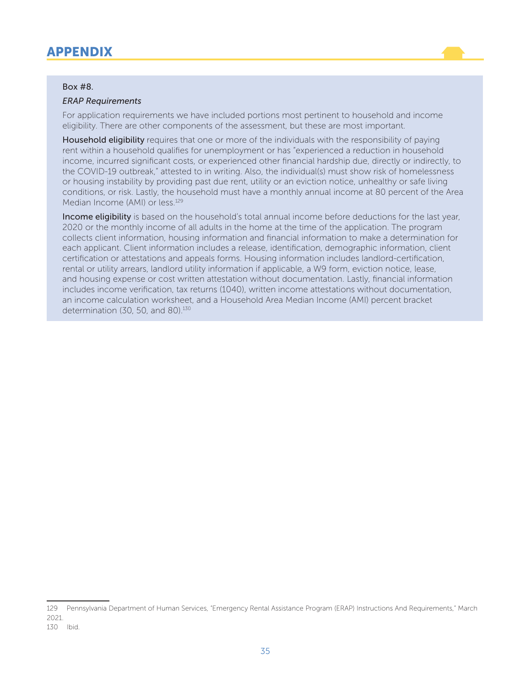# APPENDIX

#### Box #8.

#### *ERAP Requirements*

For application requirements we have included portions most pertinent to household and income eligibility. There are other components of the assessment, but these are most important.

Household eligibility requires that one or more of the individuals with the responsibility of paying rent within a household qualifies for unemployment or has "experienced a reduction in household income, incurred significant costs, or experienced other financial hardship due, directly or indirectly, to the COVID-19 outbreak," attested to in writing. Also, the individual(s) must show risk of homelessness or housing instability by providing past due rent, utility or an eviction notice, unhealthy or safe living conditions, or risk. Lastly, the household must have a monthly annual income at 80 percent of the Area Median Income (AMI) or less.129

Income eligibility is based on the household's total annual income before deductions for the last year, 2020 or the monthly income of all adults in the home at the time of the application. The program collects client information, housing information and financial information to make a determination for each applicant. Client information includes a release, identification, demographic information, client certification or attestations and appeals forms. Housing information includes landlord-certification, rental or utility arrears, landlord utility information if applicable, a W9 form, eviction notice, lease, and housing expense or cost written attestation without documentation. Lastly, financial information includes income verification, tax returns (1040), written income attestations without documentation, an income calculation worksheet, and a Household Area Median Income (AMI) percent bracket determination (30, 50, and 80).<sup>130</sup>

<sup>129</sup> Pennsylvania Department of Human Services, "Emergency Rental Assistance Program (ERAP) Instructions And Requirements," March 2021.

<sup>130</sup> Ibid.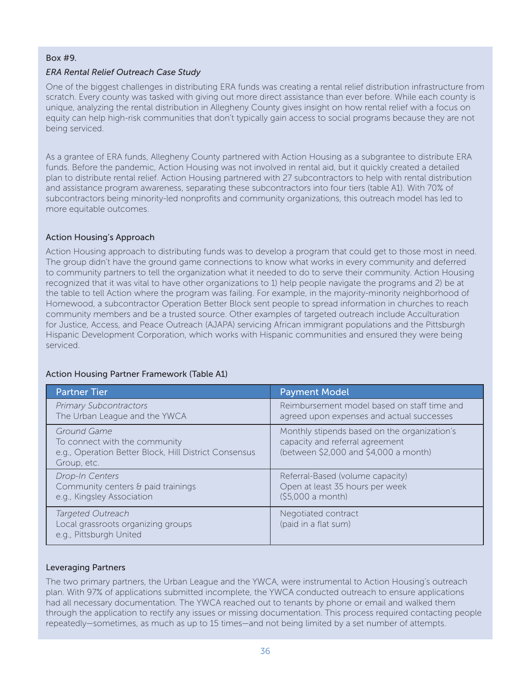#### Box #9.

#### *ERA Rental Relief Outreach Case Study*

One of the biggest challenges in distributing ERA funds was creating a rental relief distribution infrastructure from scratch. Every county was tasked with giving out more direct assistance than ever before. While each county is unique, analyzing the rental distribution in Allegheny County gives insight on how rental relief with a focus on equity can help high-risk communities that don't typically gain access to social programs because they are not being serviced.

As a grantee of ERA funds, Allegheny County partnered with Action Housing as a subgrantee to distribute ERA funds. Before the pandemic, Action Housing was not involved in rental aid, but it quickly created a detailed plan to distribute rental relief. Action Housing partnered with 27 subcontractors to help with rental distribution and assistance program awareness, separating these subcontractors into four tiers (table A1). With 70% of subcontractors being minority-led nonprofits and community organizations, this outreach model has led to more equitable outcomes.

#### Action Housing's Approach

Action Housing approach to distributing funds was to develop a program that could get to those most in need. The group didn't have the ground game connections to know what works in every community and deferred to community partners to tell the organization what it needed to do to serve their community. Action Housing recognized that it was vital to have other organizations to 1) help people navigate the programs and 2) be at the table to tell Action where the program was failing. For example, in the majority-minority neighborhood of Homewood, a subcontractor Operation Better Block sent people to spread information in churches to reach community members and be a trusted source. Other examples of targeted outreach include Acculturation for Justice, Access, and Peace Outreach (AJAPA) servicing African immigrant populations and the Pittsburgh Hispanic Development Corporation, which works with Hispanic communities and ensured they were being serviced.

#### Action Housing Partner Framework (Table A1)

| <b>Partner Tier</b>                                                                                                  | <b>Payment Model</b>                                                                                                     |
|----------------------------------------------------------------------------------------------------------------------|--------------------------------------------------------------------------------------------------------------------------|
| <b>Primary Subcontractors</b><br>The Urban League and the YWCA                                                       | Reimbursement model based on staff time and<br>agreed upon expenses and actual successes                                 |
| Ground Game<br>To connect with the community<br>e.g., Operation Better Block, Hill District Consensus<br>Group, etc. | Monthly stipends based on the organization's<br>capacity and referral agreement<br>(between \$2,000 and \$4,000 a month) |
| Drop-In Centers<br>Community centers & paid trainings<br>e.g., Kingsley Association                                  | Referral-Based (volume capacity)<br>Open at least 35 hours per week<br>(\$5,000 a month)                                 |
| Targeted Outreach<br>Local grassroots organizing groups<br>e.g., Pittsburgh United                                   | Negotiated contract<br>(paid in a flat sum)                                                                              |

#### Leveraging Partners

The two primary partners, the Urban League and the YWCA, were instrumental to Action Housing's outreach plan. With 97% of applications submitted incomplete, the YWCA conducted outreach to ensure applications had all necessary documentation. The YWCA reached out to tenants by phone or email and walked them through the application to rectify any issues or missing documentation. This process required contacting people repeatedly—sometimes, as much as up to 15 times—and not being limited by a set number of attempts.